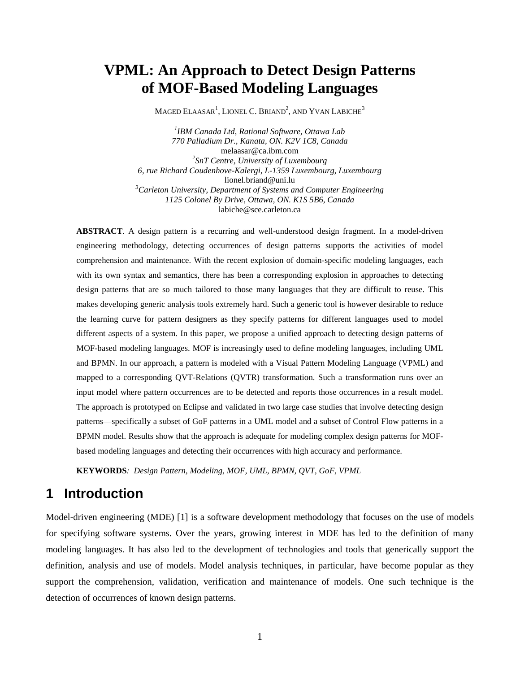# **VPML: An Approach to Detect Design Patterns of MOF-Based Modeling Languages**

MAGED  $\rm ELAASAR^{1}$ , LIONEL C. BRIAND $^{2}$ , AND YVAN LABICHE $^{3}$ 

*1 IBM Canada Ltd, Rational Software, Ottawa Lab 770 Palladium Dr., Kanata, ON. K2V 1C8, Canada*  melaasar@ca.ibm.com *2 SnT Centre, University of Luxembourg 6, rue Richard Coudenhove-Kalergi, L-1359 Luxembourg, Luxembourg*  lionel.briand@uni.lu *<sup>3</sup>Carleton University, Department of Systems and Computer Engineering 1125 Colonel By Drive, Ottawa, ON. K1S 5B6, Canada*  labiche@sce.carleton.ca

**ABSTRACT**. A design pattern is a recurring and well-understood design fragment. In a model-driven engineering methodology, detecting occurrences of design patterns supports the activities of model comprehension and maintenance. With the recent explosion of domain-specific modeling languages, each with its own syntax and semantics, there has been a corresponding explosion in approaches to detecting design patterns that are so much tailored to those many languages that they are difficult to reuse. This makes developing generic analysis tools extremely hard. Such a generic tool is however desirable to reduce the learning curve for pattern designers as they specify patterns for different languages used to model different aspects of a system. In this paper, we propose a unified approach to detecting design patterns of MOF-based modeling languages. MOF is increasingly used to define modeling languages, including UML and BPMN. In our approach, a pattern is modeled with a Visual Pattern Modeling Language (VPML) and mapped to a corresponding QVT-Relations (QVTR) transformation. Such a transformation runs over an input model where pattern occurrences are to be detected and reports those occurrences in a result model. The approach is prototyped on Eclipse and validated in two large case studies that involve detecting design patterns—specifically a subset of GoF patterns in a UML model and a subset of Control Flow patterns in a BPMN model. Results show that the approach is adequate for modeling complex design patterns for MOFbased modeling languages and detecting their occurrences with high accuracy and performance.

**KEYWORDS***: Design Pattern, Modeling, MOF, UML, BPMN, QVT, GoF, VPML* 

# **1 Introduction**

Model-driven engineering (MDE) [1] is a software development methodology that focuses on the use of models for specifying software systems. Over the years, growing interest in MDE has led to the definition of many modeling languages. It has also led to the development of technologies and tools that generically support the definition, analysis and use of models. Model analysis techniques, in particular, have become popular as they support the comprehension, validation, verification and maintenance of models. One such technique is the detection of occurrences of known design patterns.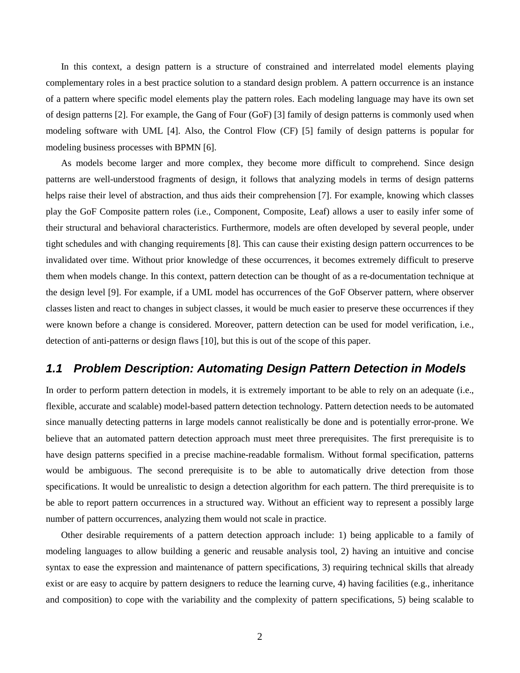In this context, a design pattern is a structure of constrained and interrelated model elements playing complementary roles in a best practice solution to a standard design problem. A pattern occurrence is an instance of a pattern where specific model elements play the pattern roles. Each modeling language may have its own set of design patterns [2]. For example, the Gang of Four (GoF) [3] family of design patterns is commonly used when modeling software with UML [4]. Also, the Control Flow (CF) [5] family of design patterns is popular for modeling business processes with BPMN [6].

As models become larger and more complex, they become more difficult to comprehend. Since design patterns are well-understood fragments of design, it follows that analyzing models in terms of design patterns helps raise their level of abstraction, and thus aids their comprehension [7]. For example, knowing which classes play the GoF Composite pattern roles (i.e., Component, Composite, Leaf) allows a user to easily infer some of their structural and behavioral characteristics. Furthermore, models are often developed by several people, under tight schedules and with changing requirements [8]. This can cause their existing design pattern occurrences to be invalidated over time. Without prior knowledge of these occurrences, it becomes extremely difficult to preserve them when models change. In this context, pattern detection can be thought of as a re-documentation technique at the design level [9]. For example, if a UML model has occurrences of the GoF Observer pattern, where observer classes listen and react to changes in subject classes, it would be much easier to preserve these occurrences if they were known before a change is considered. Moreover, pattern detection can be used for model verification, i.e., detection of anti-patterns or design flaws [10], but this is out of the scope of this paper.

#### **1.1 Problem Description: Automating Design Pattern Detection in Models**

In order to perform pattern detection in models, it is extremely important to be able to rely on an adequate (i.e., flexible, accurate and scalable) model-based pattern detection technology. Pattern detection needs to be automated since manually detecting patterns in large models cannot realistically be done and is potentially error-prone. We believe that an automated pattern detection approach must meet three prerequisites. The first prerequisite is to have design patterns specified in a precise machine-readable formalism. Without formal specification, patterns would be ambiguous. The second prerequisite is to be able to automatically drive detection from those specifications. It would be unrealistic to design a detection algorithm for each pattern. The third prerequisite is to be able to report pattern occurrences in a structured way. Without an efficient way to represent a possibly large number of pattern occurrences, analyzing them would not scale in practice.

Other desirable requirements of a pattern detection approach include: 1) being applicable to a family of modeling languages to allow building a generic and reusable analysis tool, 2) having an intuitive and concise syntax to ease the expression and maintenance of pattern specifications, 3) requiring technical skills that already exist or are easy to acquire by pattern designers to reduce the learning curve, 4) having facilities (e.g., inheritance and composition) to cope with the variability and the complexity of pattern specifications, 5) being scalable to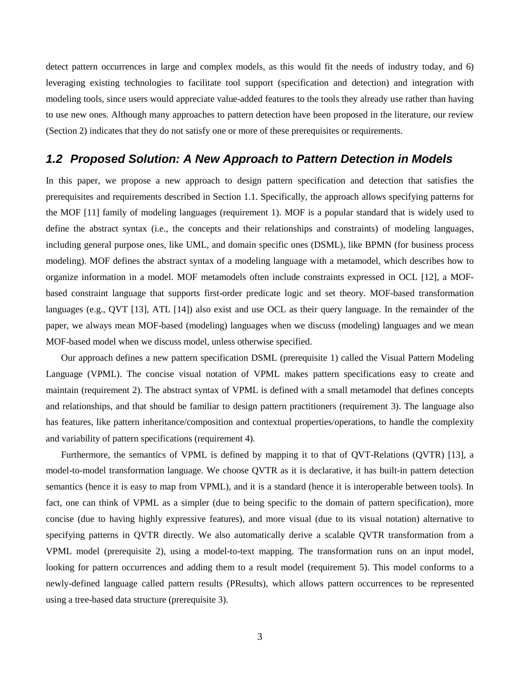detect pattern occurrences in large and complex models, as this would fit the needs of industry today, and 6) leveraging existing technologies to facilitate tool support (specification and detection) and integration with modeling tools, since users would appreciate value-added features to the tools they already use rather than having to use new ones. Although many approaches to pattern detection have been proposed in the literature, our review (Section 2) indicates that they do not satisfy one or more of these prerequisites or requirements.

#### **1.2 Proposed Solution: A New Approach to Pattern Detection in Models**

In this paper, we propose a new approach to design pattern specification and detection that satisfies the prerequisites and requirements described in Section 1.1. Specifically, the approach allows specifying patterns for the MOF [11] family of modeling languages (requirement 1). MOF is a popular standard that is widely used to define the abstract syntax (i.e., the concepts and their relationships and constraints) of modeling languages, including general purpose ones, like UML, and domain specific ones (DSML), like BPMN (for business process modeling). MOF defines the abstract syntax of a modeling language with a metamodel, which describes how to organize information in a model. MOF metamodels often include constraints expressed in OCL [12], a MOFbased constraint language that supports first-order predicate logic and set theory. MOF-based transformation languages (e.g., QVT [13], ATL [14]) also exist and use OCL as their query language. In the remainder of the paper, we always mean MOF-based (modeling) languages when we discuss (modeling) languages and we mean MOF-based model when we discuss model, unless otherwise specified.

Our approach defines a new pattern specification DSML (prerequisite 1) called the Visual Pattern Modeling Language (VPML). The concise visual notation of VPML makes pattern specifications easy to create and maintain (requirement 2). The abstract syntax of VPML is defined with a small metamodel that defines concepts and relationships, and that should be familiar to design pattern practitioners (requirement 3). The language also has features, like pattern inheritance/composition and contextual properties/operations, to handle the complexity and variability of pattern specifications (requirement 4).

Furthermore, the semantics of VPML is defined by mapping it to that of QVT-Relations (QVTR) [13], a model-to-model transformation language. We choose QVTR as it is declarative, it has built-in pattern detection semantics (hence it is easy to map from VPML), and it is a standard (hence it is interoperable between tools). In fact, one can think of VPML as a simpler (due to being specific to the domain of pattern specification), more concise (due to having highly expressive features), and more visual (due to its visual notation) alternative to specifying patterns in QVTR directly. We also automatically derive a scalable QVTR transformation from a VPML model (prerequisite 2), using a model-to-text mapping. The transformation runs on an input model, looking for pattern occurrences and adding them to a result model (requirement 5). This model conforms to a newly-defined language called pattern results (PResults), which allows pattern occurrences to be represented using a tree-based data structure (prerequisite 3).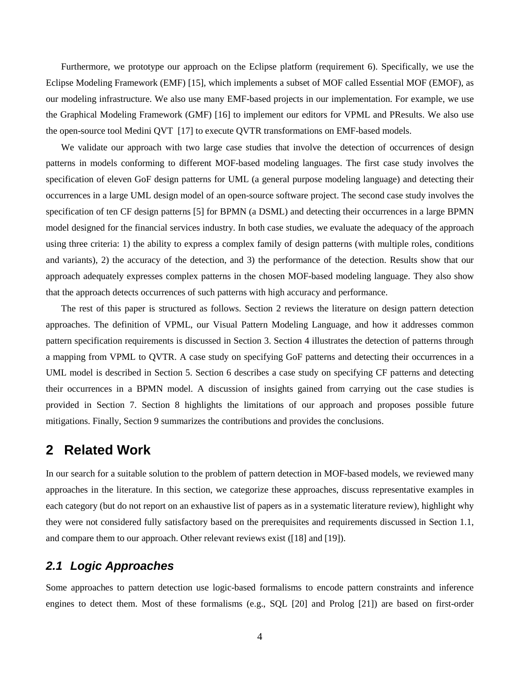Furthermore, we prototype our approach on the Eclipse platform (requirement 6). Specifically, we use the Eclipse Modeling Framework (EMF) [15], which implements a subset of MOF called Essential MOF (EMOF), as our modeling infrastructure. We also use many EMF-based projects in our implementation. For example, we use the Graphical Modeling Framework (GMF) [16] to implement our editors for VPML and PResults. We also use the open-source tool Medini QVT [17] to execute QVTR transformations on EMF-based models.

We validate our approach with two large case studies that involve the detection of occurrences of design patterns in models conforming to different MOF-based modeling languages. The first case study involves the specification of eleven GoF design patterns for UML (a general purpose modeling language) and detecting their occurrences in a large UML design model of an open-source software project. The second case study involves the specification of ten CF design patterns [5] for BPMN (a DSML) and detecting their occurrences in a large BPMN model designed for the financial services industry. In both case studies, we evaluate the adequacy of the approach using three criteria: 1) the ability to express a complex family of design patterns (with multiple roles, conditions and variants), 2) the accuracy of the detection, and 3) the performance of the detection. Results show that our approach adequately expresses complex patterns in the chosen MOF-based modeling language. They also show that the approach detects occurrences of such patterns with high accuracy and performance.

The rest of this paper is structured as follows. Section 2 reviews the literature on design pattern detection approaches. The definition of VPML, our Visual Pattern Modeling Language, and how it addresses common pattern specification requirements is discussed in Section 3. Section 4 illustrates the detection of patterns through a mapping from VPML to QVTR. A case study on specifying GoF patterns and detecting their occurrences in a UML model is described in Section 5. Section 6 describes a case study on specifying CF patterns and detecting their occurrences in a BPMN model. A discussion of insights gained from carrying out the case studies is provided in Section 7. Section 8 highlights the limitations of our approach and proposes possible future mitigations. Finally, Section 9 summarizes the contributions and provides the conclusions.

## **2 Related Work**

In our search for a suitable solution to the problem of pattern detection in MOF-based models, we reviewed many approaches in the literature. In this section, we categorize these approaches, discuss representative examples in each category (but do not report on an exhaustive list of papers as in a systematic literature review), highlight why they were not considered fully satisfactory based on the prerequisites and requirements discussed in Section 1.1, and compare them to our approach. Other relevant reviews exist ( [18] and [19]).

#### **2.1 Logic Approaches**

Some approaches to pattern detection use logic-based formalisms to encode pattern constraints and inference engines to detect them. Most of these formalisms (e.g., SQL [20] and Prolog [21]) are based on first-order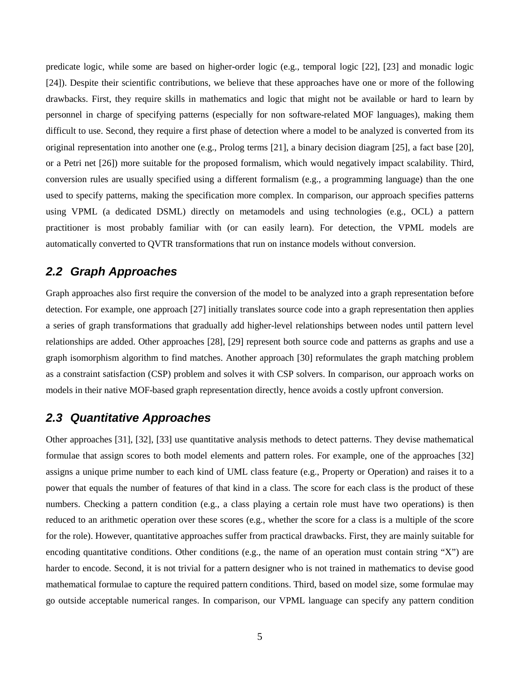predicate logic, while some are based on higher-order logic (e.g., temporal logic [22], [23] and monadic logic [24]). Despite their scientific contributions, we believe that these approaches have one or more of the following drawbacks. First, they require skills in mathematics and logic that might not be available or hard to learn by personnel in charge of specifying patterns (especially for non software-related MOF languages), making them difficult to use. Second, they require a first phase of detection where a model to be analyzed is converted from its original representation into another one (e.g., Prolog terms [21], a binary decision diagram [25], a fact base [20], or a Petri net [26]) more suitable for the proposed formalism, which would negatively impact scalability. Third, conversion rules are usually specified using a different formalism (e.g., a programming language) than the one used to specify patterns, making the specification more complex. In comparison, our approach specifies patterns using VPML (a dedicated DSML) directly on metamodels and using technologies (e.g., OCL) a pattern practitioner is most probably familiar with (or can easily learn). For detection, the VPML models are automatically converted to QVTR transformations that run on instance models without conversion.

#### **2.2 Graph Approaches**

Graph approaches also first require the conversion of the model to be analyzed into a graph representation before detection. For example, one approach [27] initially translates source code into a graph representation then applies a series of graph transformations that gradually add higher-level relationships between nodes until pattern level relationships are added. Other approaches [28], [29] represent both source code and patterns as graphs and use a graph isomorphism algorithm to find matches. Another approach [30] reformulates the graph matching problem as a constraint satisfaction (CSP) problem and solves it with CSP solvers. In comparison, our approach works on models in their native MOF-based graph representation directly, hence avoids a costly upfront conversion.

#### **2.3 Quantitative Approaches**

Other approaches [31], [32], [33] use quantitative analysis methods to detect patterns. They devise mathematical formulae that assign scores to both model elements and pattern roles. For example, one of the approaches [32] assigns a unique prime number to each kind of UML class feature (e.g., Property or Operation) and raises it to a power that equals the number of features of that kind in a class. The score for each class is the product of these numbers. Checking a pattern condition (e.g., a class playing a certain role must have two operations) is then reduced to an arithmetic operation over these scores (e.g., whether the score for a class is a multiple of the score for the role). However, quantitative approaches suffer from practical drawbacks. First, they are mainly suitable for encoding quantitative conditions. Other conditions (e.g., the name of an operation must contain string "X") are harder to encode. Second, it is not trivial for a pattern designer who is not trained in mathematics to devise good mathematical formulae to capture the required pattern conditions. Third, based on model size, some formulae may go outside acceptable numerical ranges. In comparison, our VPML language can specify any pattern condition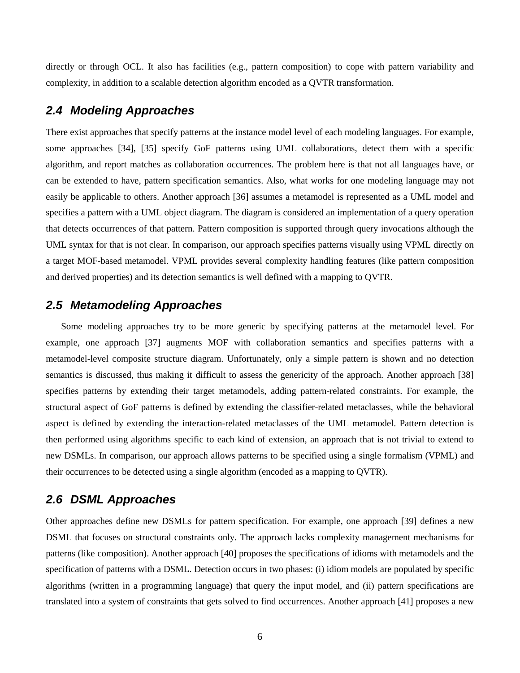directly or through OCL. It also has facilities (e.g., pattern composition) to cope with pattern variability and complexity, in addition to a scalable detection algorithm encoded as a QVTR transformation.

### **2.4 Modeling Approaches**

There exist approaches that specify patterns at the instance model level of each modeling languages. For example, some approaches [34], [35] specify GoF patterns using UML collaborations, detect them with a specific algorithm, and report matches as collaboration occurrences. The problem here is that not all languages have, or can be extended to have, pattern specification semantics. Also, what works for one modeling language may not easily be applicable to others. Another approach [36] assumes a metamodel is represented as a UML model and specifies a pattern with a UML object diagram. The diagram is considered an implementation of a query operation that detects occurrences of that pattern. Pattern composition is supported through query invocations although the UML syntax for that is not clear. In comparison, our approach specifies patterns visually using VPML directly on a target MOF-based metamodel. VPML provides several complexity handling features (like pattern composition and derived properties) and its detection semantics is well defined with a mapping to QVTR.

## **2.5 Metamodeling Approaches**

Some modeling approaches try to be more generic by specifying patterns at the metamodel level. For example, one approach [37] augments MOF with collaboration semantics and specifies patterns with a metamodel-level composite structure diagram. Unfortunately, only a simple pattern is shown and no detection semantics is discussed, thus making it difficult to assess the genericity of the approach. Another approach [38] specifies patterns by extending their target metamodels, adding pattern-related constraints. For example, the structural aspect of GoF patterns is defined by extending the classifier-related metaclasses, while the behavioral aspect is defined by extending the interaction-related metaclasses of the UML metamodel. Pattern detection is then performed using algorithms specific to each kind of extension, an approach that is not trivial to extend to new DSMLs. In comparison, our approach allows patterns to be specified using a single formalism (VPML) and their occurrences to be detected using a single algorithm (encoded as a mapping to QVTR).

### **2.6 DSML Approaches**

Other approaches define new DSMLs for pattern specification. For example, one approach [39] defines a new DSML that focuses on structural constraints only. The approach lacks complexity management mechanisms for patterns (like composition). Another approach [40] proposes the specifications of idioms with metamodels and the specification of patterns with a DSML. Detection occurs in two phases: (i) idiom models are populated by specific algorithms (written in a programming language) that query the input model, and (ii) pattern specifications are translated into a system of constraints that gets solved to find occurrences. Another approach [41] proposes a new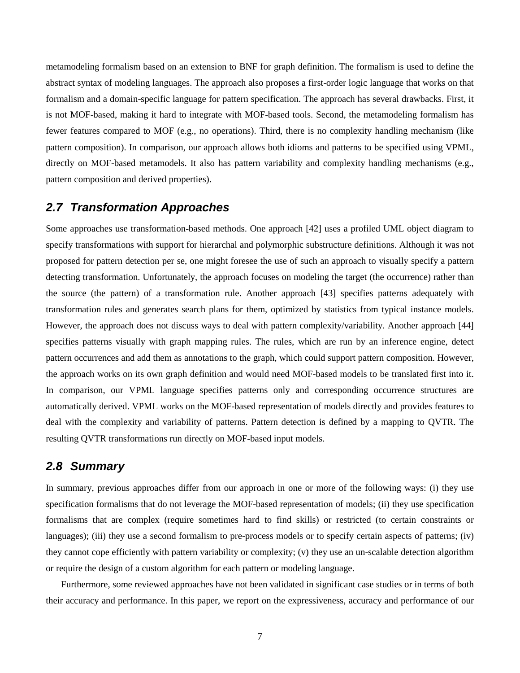metamodeling formalism based on an extension to BNF for graph definition. The formalism is used to define the abstract syntax of modeling languages. The approach also proposes a first-order logic language that works on that formalism and a domain-specific language for pattern specification. The approach has several drawbacks. First, it is not MOF-based, making it hard to integrate with MOF-based tools. Second, the metamodeling formalism has fewer features compared to MOF (e.g., no operations). Third, there is no complexity handling mechanism (like pattern composition). In comparison, our approach allows both idioms and patterns to be specified using VPML, directly on MOF-based metamodels. It also has pattern variability and complexity handling mechanisms (e.g., pattern composition and derived properties).

## **2.7 Transformation Approaches**

Some approaches use transformation-based methods. One approach [42] uses a profiled UML object diagram to specify transformations with support for hierarchal and polymorphic substructure definitions. Although it was not proposed for pattern detection per se, one might foresee the use of such an approach to visually specify a pattern detecting transformation. Unfortunately, the approach focuses on modeling the target (the occurrence) rather than the source (the pattern) of a transformation rule. Another approach [43] specifies patterns adequately with transformation rules and generates search plans for them, optimized by statistics from typical instance models. However, the approach does not discuss ways to deal with pattern complexity/variability. Another approach [44] specifies patterns visually with graph mapping rules. The rules, which are run by an inference engine, detect pattern occurrences and add them as annotations to the graph, which could support pattern composition. However, the approach works on its own graph definition and would need MOF-based models to be translated first into it. In comparison, our VPML language specifies patterns only and corresponding occurrence structures are automatically derived. VPML works on the MOF-based representation of models directly and provides features to deal with the complexity and variability of patterns. Pattern detection is defined by a mapping to QVTR. The resulting QVTR transformations run directly on MOF-based input models.

#### **2.8 Summary**

In summary, previous approaches differ from our approach in one or more of the following ways: (i) they use specification formalisms that do not leverage the MOF-based representation of models; (ii) they use specification formalisms that are complex (require sometimes hard to find skills) or restricted (to certain constraints or languages); (iii) they use a second formalism to pre-process models or to specify certain aspects of patterns; (iv) they cannot cope efficiently with pattern variability or complexity; (v) they use an un-scalable detection algorithm or require the design of a custom algorithm for each pattern or modeling language.

Furthermore, some reviewed approaches have not been validated in significant case studies or in terms of both their accuracy and performance. In this paper, we report on the expressiveness, accuracy and performance of our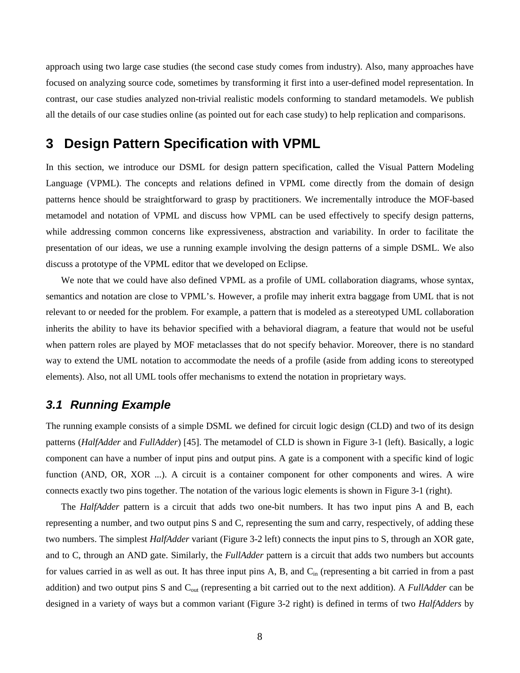approach using two large case studies (the second case study comes from industry). Also, many approaches have focused on analyzing source code, sometimes by transforming it first into a user-defined model representation. In contrast, our case studies analyzed non-trivial realistic models conforming to standard metamodels. We publish all the details of our case studies online (as pointed out for each case study) to help replication and comparisons.

## **3 Design Pattern Specification with VPML**

In this section, we introduce our DSML for design pattern specification, called the Visual Pattern Modeling Language (VPML). The concepts and relations defined in VPML come directly from the domain of design patterns hence should be straightforward to grasp by practitioners. We incrementally introduce the MOF-based metamodel and notation of VPML and discuss how VPML can be used effectively to specify design patterns, while addressing common concerns like expressiveness, abstraction and variability. In order to facilitate the presentation of our ideas, we use a running example involving the design patterns of a simple DSML. We also discuss a prototype of the VPML editor that we developed on Eclipse.

We note that we could have also defined VPML as a profile of UML collaboration diagrams, whose syntax, semantics and notation are close to VPML's. However, a profile may inherit extra baggage from UML that is not relevant to or needed for the problem. For example, a pattern that is modeled as a stereotyped UML collaboration inherits the ability to have its behavior specified with a behavioral diagram, a feature that would not be useful when pattern roles are played by MOF metaclasses that do not specify behavior. Moreover, there is no standard way to extend the UML notation to accommodate the needs of a profile (aside from adding icons to stereotyped elements). Also, not all UML tools offer mechanisms to extend the notation in proprietary ways.

### **3.1 Running Example**

The running example consists of a simple DSML we defined for circuit logic design (CLD) and two of its design patterns (*HalfAdder* and *FullAdder*) [45]. The metamodel of CLD is shown in Figure 3-1 (left). Basically, a logic component can have a number of input pins and output pins. A gate is a component with a specific kind of logic function (AND, OR, XOR ...). A circuit is a container component for other components and wires. A wire connects exactly two pins together. The notation of the various logic elements is shown in Figure 3-1 (right).

The *HalfAdder* pattern is a circuit that adds two one-bit numbers. It has two input pins A and B, each representing a number, and two output pins S and C, representing the sum and carry, respectively, of adding these two numbers. The simplest *HalfAdder* variant (Figure 3-2 left) connects the input pins to S, through an XOR gate, and to C, through an AND gate. Similarly, the *FullAdder* pattern is a circuit that adds two numbers but accounts for values carried in as well as out. It has three input pins A, B, and  $C_{\text{in}}$  (representing a bit carried in from a past addition) and two output pins S and Cout (representing a bit carried out to the next addition). A *FullAdder* can be designed in a variety of ways but a common variant (Figure 3-2 right) is defined in terms of two *HalfAdders* by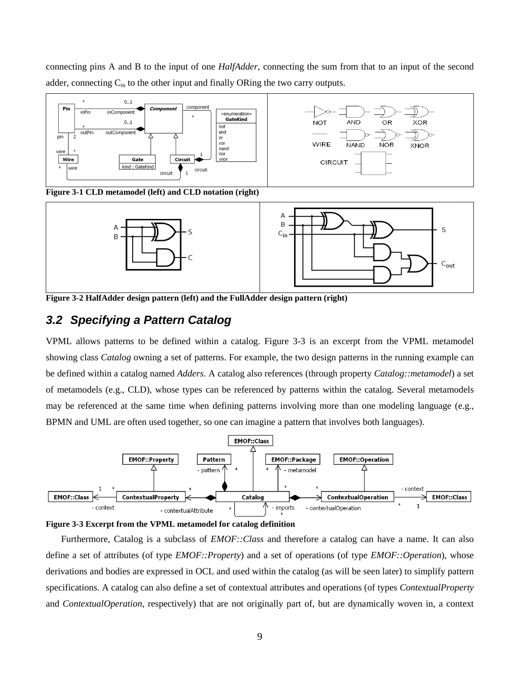connecting pins A and B to the input of one *HalfAdder*, connecting the sum from that to an input of the second adder, connecting  $C_{in}$  to the other input and finally ORing the two carry outputs.



**Figure 3-1 CLD metamodel (left) and CLD notation (right)** 



**Figure 3-2 HalfAdder design pattern (left) and the FullAdder design pattern (right)** 

## **3.2 Specifying a Pattern Catalog**

VPML allows patterns to be defined within a catalog. Figure 3-3 is an excerpt from the VPML metamodel showing class *Catalog* owning a set of patterns. For example, the two design patterns in the running example can be defined within a catalog named *Adders*. A catalog also references (through property *Catalog::metamodel*) a set of metamodels (e.g., CLD), whose types can be referenced by patterns within the catalog. Several metamodels may be referenced at the same time when defining patterns involving more than one modeling language (e.g., BPMN and UML are often used together, so one can imagine a pattern that involves both languages).





Furthermore, Catalog is a subclass of *EMOF::Class* and therefore a catalog can have a name. It can also define a set of attributes (of type *EMOF::Property*) and a set of operations (of type *EMOF::Operation*), whose derivations and bodies are expressed in OCL and used within the catalog (as will be seen later) to simplify pattern specifications. A catalog can also define a set of contextual attributes and operations (of types *ContextualProperty* and *ContextualOperation*, respectively) that are not originally part of, but are dynamically woven in, a context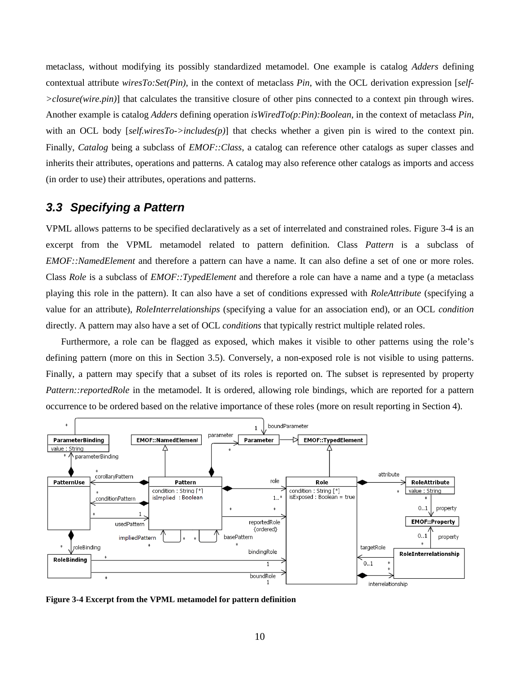metaclass, without modifying its possibly standardized metamodel. One example is catalog *Adders* defining contextual attribute *wiresTo:Set(Pin)*, in the context of metaclass *Pin*, with the OCL derivation expression [*self- >closure(wire.pin)*] that calculates the transitive closure of other pins connected to a context pin through wires. Another example is catalog *Adders* defining operation *isWiredTo(p:Pin):Boolean*, in the context of metaclass *Pin*, with an OCL body [*self.wiresTo->includes(p)*] that checks whether a given pin is wired to the context pin. Finally, *Catalog* being a subclass of *EMOF::Class*, a catalog can reference other catalogs as super classes and inherits their attributes, operations and patterns. A catalog may also reference other catalogs as imports and access (in order to use) their attributes, operations and patterns.

## **3.3 Specifying a Pattern**

VPML allows patterns to be specified declaratively as a set of interrelated and constrained roles. Figure 3-4 is an excerpt from the VPML metamodel related to pattern definition. Class *Pattern* is a subclass of *EMOF::NamedElement* and therefore a pattern can have a name. It can also define a set of one or more roles. Class *Role* is a subclass of *EMOF::TypedElement* and therefore a role can have a name and a type (a metaclass playing this role in the pattern). It can also have a set of conditions expressed with *RoleAttribute* (specifying a value for an attribute), *RoleInterrelationships* (specifying a value for an association end), or an OCL *condition*  directly. A pattern may also have a set of OCL *conditions* that typically restrict multiple related roles.

Furthermore, a role can be flagged as exposed, which makes it visible to other patterns using the role's defining pattern (more on this in Section 3.5). Conversely, a non-exposed role is not visible to using patterns. Finally, a pattern may specify that a subset of its roles is reported on. The subset is represented by property *Pattern::reportedRole* in the metamodel. It is ordered, allowing role bindings, which are reported for a pattern occurrence to be ordered based on the relative importance of these roles (more on result reporting in Section 4).



**Figure 3-4 Excerpt from the VPML metamodel for pattern definition**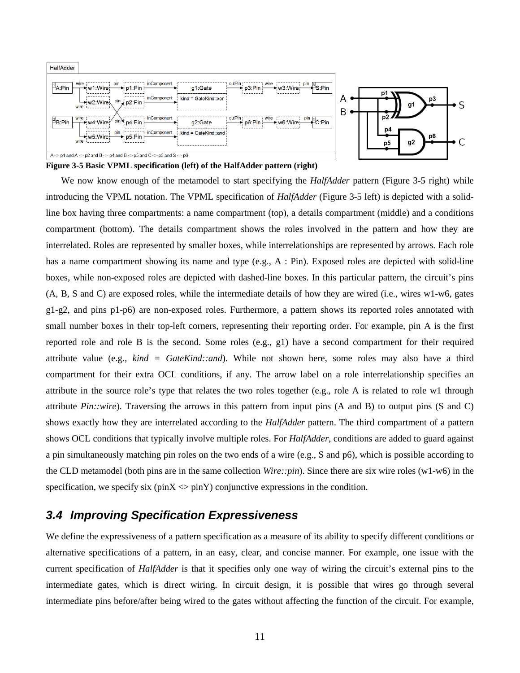

**Figure 3-5 Basic VPML specification (left) of the HalfAdder pattern (right)** 

We now know enough of the metamodel to start specifying the *HalfAdder* pattern (Figure 3-5 right) while introducing the VPML notation. The VPML specification of *HalfAdder* (Figure 3-5 left) is depicted with a solidline box having three compartments: a name compartment (top), a details compartment (middle) and a conditions compartment (bottom). The details compartment shows the roles involved in the pattern and how they are interrelated. Roles are represented by smaller boxes, while interrelationships are represented by arrows. Each role has a name compartment showing its name and type (e.g., A : Pin). Exposed roles are depicted with solid-line boxes, while non-exposed roles are depicted with dashed-line boxes. In this particular pattern, the circuit's pins (A, B, S and C) are exposed roles, while the intermediate details of how they are wired (i.e., wires w1-w6, gates g1-g2, and pins p1-p6) are non-exposed roles. Furthermore, a pattern shows its reported roles annotated with small number boxes in their top-left corners, representing their reporting order. For example, pin A is the first reported role and role B is the second. Some roles (e.g., g1) have a second compartment for their required attribute value (e.g., *kind = GateKind::and*). While not shown here, some roles may also have a third compartment for their extra OCL conditions, if any. The arrow label on a role interrelationship specifies an attribute in the source role's type that relates the two roles together (e.g., role A is related to role w1 through attribute *Pin::wire*). Traversing the arrows in this pattern from input pins (A and B) to output pins (S and C) shows exactly how they are interrelated according to the *HalfAdder* pattern. The third compartment of a pattern shows OCL conditions that typically involve multiple roles. For *HalfAdder*, conditions are added to guard against a pin simultaneously matching pin roles on the two ends of a wire (e.g., S and p6), which is possible according to the CLD metamodel (both pins are in the same collection *Wire::pin*). Since there are six wire roles (w1-w6) in the specification, we specify six ( $\text{pinX} \ll \text{pinY}$ ) conjunctive expressions in the condition.

## **3.4 Improving Specification Expressiveness**

We define the expressiveness of a pattern specification as a measure of its ability to specify different conditions or alternative specifications of a pattern, in an easy, clear, and concise manner. For example, one issue with the current specification of *HalfAdder* is that it specifies only one way of wiring the circuit's external pins to the intermediate gates, which is direct wiring. In circuit design, it is possible that wires go through several intermediate pins before/after being wired to the gates without affecting the function of the circuit. For example,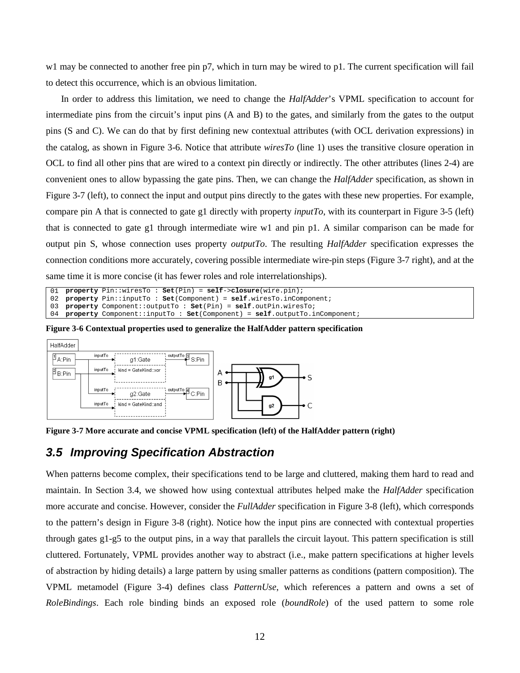w1 may be connected to another free pin p7, which in turn may be wired to p1. The current specification will fail to detect this occurrence, which is an obvious limitation.

In order to address this limitation, we need to change the *HalfAdder*'s VPML specification to account for intermediate pins from the circuit's input pins (A and B) to the gates, and similarly from the gates to the output pins (S and C). We can do that by first defining new contextual attributes (with OCL derivation expressions) in the catalog, as shown in Figure 3-6. Notice that attribute *wiresTo* (line 1) uses the transitive closure operation in OCL to find all other pins that are wired to a context pin directly or indirectly. The other attributes (lines 2-4) are convenient ones to allow bypassing the gate pins. Then, we can change the *HalfAdder* specification, as shown in Figure 3-7 (left), to connect the input and output pins directly to the gates with these new properties. For example, compare pin A that is connected to gate g1 directly with property *inputTo*, with its counterpart in Figure 3-5 (left) that is connected to gate g1 through intermediate wire w1 and pin p1. A similar comparison can be made for output pin S, whose connection uses property *outputTo*. The resulting *HalfAdder* specification expresses the connection conditions more accurately, covering possible intermediate wire-pin steps (Figure 3-7 right), and at the same time it is more concise (it has fewer roles and role interrelationships).

```
01
02
03
04
   property Pin::wiresTo : Set(Pin) = self->closure(wire.pin); 
   property Pin::inputTo : Set(Component) = self.wiresTo.inComponent; 
   property Component::outputTo : Set(Pin) = self.outPin.wiresTo; 
   property Component::inputTo : Set(Component) = self.outputTo.inComponent;
```
**Figure 3-6 Contextual properties used to generalize the HalfAdder pattern specification** 



**Figure 3-7 More accurate and concise VPML specification (left) of the HalfAdder pattern (right)** 

#### **3.5 Improving Specification Abstraction**

When patterns become complex, their specifications tend to be large and cluttered, making them hard to read and maintain. In Section 3.4, we showed how using contextual attributes helped make the *HalfAdder* specification more accurate and concise. However, consider the *FullAdder* specification in Figure 3-8 (left), which corresponds to the pattern's design in Figure 3-8 (right). Notice how the input pins are connected with contextual properties through gates g1-g5 to the output pins, in a way that parallels the circuit layout. This pattern specification is still cluttered. Fortunately, VPML provides another way to abstract (i.e., make pattern specifications at higher levels of abstraction by hiding details) a large pattern by using smaller patterns as conditions (pattern composition). The VPML metamodel (Figure 3-4) defines class *PatternUse*, which references a pattern and owns a set of *RoleBindings*. Each role binding binds an exposed role (*boundRole*) of the used pattern to some role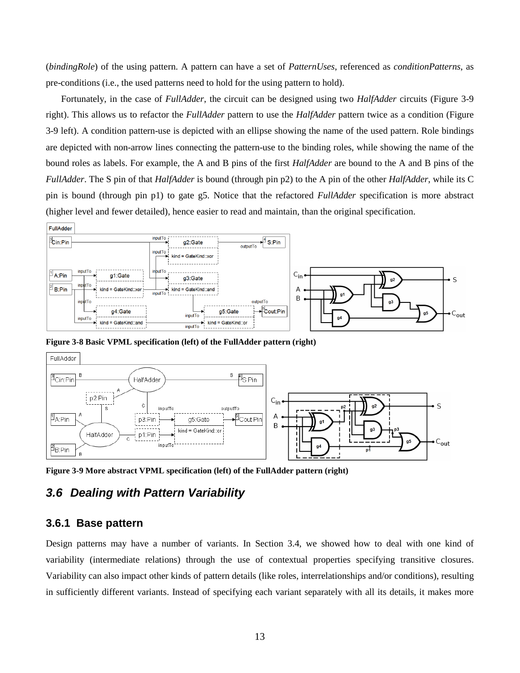(*bindingRole*) of the using pattern. A pattern can have a set of *PatternUses*, referenced as *conditionPatterns*, as pre-conditions (i.e., the used patterns need to hold for the using pattern to hold).

Fortunately, in the case of *FullAdder*, the circuit can be designed using two *HalfAdder* circuits (Figure 3-9 right). This allows us to refactor the *FullAdder* pattern to use the *HalfAdder* pattern twice as a condition (Figure 3-9 left). A condition pattern-use is depicted with an ellipse showing the name of the used pattern. Role bindings are depicted with non-arrow lines connecting the pattern-use to the binding roles, while showing the name of the bound roles as labels. For example, the A and B pins of the first *HalfAdder* are bound to the A and B pins of the *FullAdder*. The S pin of that *HalfAdder* is bound (through pin p2) to the A pin of the other *HalfAdder*, while its C pin is bound (through pin p1) to gate g5. Notice that the refactored *FullAdder* specification is more abstract (higher level and fewer detailed), hence easier to read and maintain, than the original specification.



**Figure 3-8 Basic VPML specification (left) of the FullAdder pattern (right)** 



**Figure 3-9 More abstract VPML specification (left) of the FullAdder pattern (right)** 

## **3.6 Dealing with Pattern Variability**

#### **3.6.1 Base pattern**

Design patterns may have a number of variants. In Section 3.4, we showed how to deal with one kind of variability (intermediate relations) through the use of contextual properties specifying transitive closures. Variability can also impact other kinds of pattern details (like roles, interrelationships and/or conditions), resulting in sufficiently different variants. Instead of specifying each variant separately with all its details, it makes more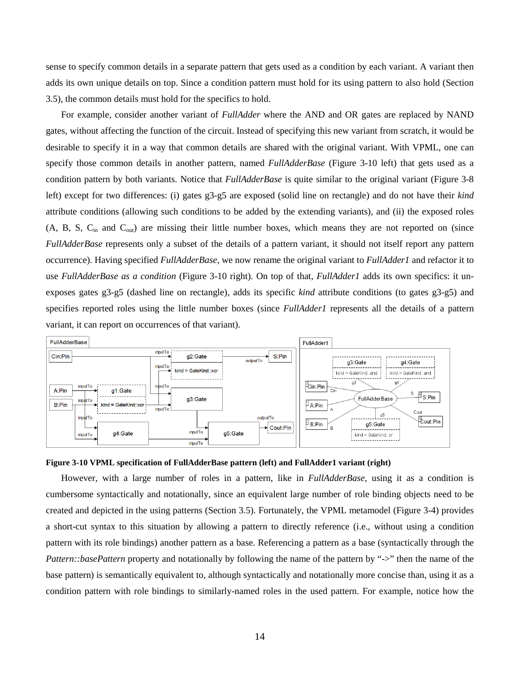sense to specify common details in a separate pattern that gets used as a condition by each variant. A variant then adds its own unique details on top. Since a condition pattern must hold for its using pattern to also hold (Section 3.5), the common details must hold for the specifics to hold.

For example, consider another variant of *FullAdder* where the AND and OR gates are replaced by NAND gates, without affecting the function of the circuit. Instead of specifying this new variant from scratch, it would be desirable to specify it in a way that common details are shared with the original variant. With VPML, one can specify those common details in another pattern, named *FullAdderBase* (Figure 3-10 left) that gets used as a condition pattern by both variants. Notice that *FullAdderBase* is quite similar to the original variant (Figure 3-8 left) except for two differences: (i) gates g3-g5 are exposed (solid line on rectangle) and do not have their *kind* attribute conditions (allowing such conditions to be added by the extending variants), and (ii) the exposed roles (A, B, S,  $C_{\text{in}}$  and  $C_{\text{out}}$ ) are missing their little number boxes, which means they are not reported on (since *FullAdderBase* represents only a subset of the details of a pattern variant, it should not itself report any pattern occurrence). Having specified *FullAdderBase*, we now rename the original variant to *FullAdder1* and refactor it to use *FullAdderBase as a condition* (Figure 3-10 right)*.* On top of that, *FullAdder1* adds its own specifics: it unexposes gates g3-g5 (dashed line on rectangle), adds its specific *kind* attribute conditions (to gates g3-g5) and specifies reported roles using the little number boxes (since *FullAdder1* represents all the details of a pattern variant, it can report on occurrences of that variant).



#### **Figure 3-10 VPML specification of FullAdderBase pattern (left) and FullAdder1 variant (right)**

However, with a large number of roles in a pattern, like in *FullAdderBase*, using it as a condition is cumbersome syntactically and notationally, since an equivalent large number of role binding objects need to be created and depicted in the using patterns (Section 3.5). Fortunately, the VPML metamodel (Figure 3-4) provides a short-cut syntax to this situation by allowing a pattern to directly reference (i.e., without using a condition pattern with its role bindings) another pattern as a base. Referencing a pattern as a base (syntactically through the *Pattern::basePattern* property and notationally by following the name of the pattern by "->" then the name of the base pattern) is semantically equivalent to, although syntactically and notationally more concise than, using it as a condition pattern with role bindings to similarly-named roles in the used pattern. For example, notice how the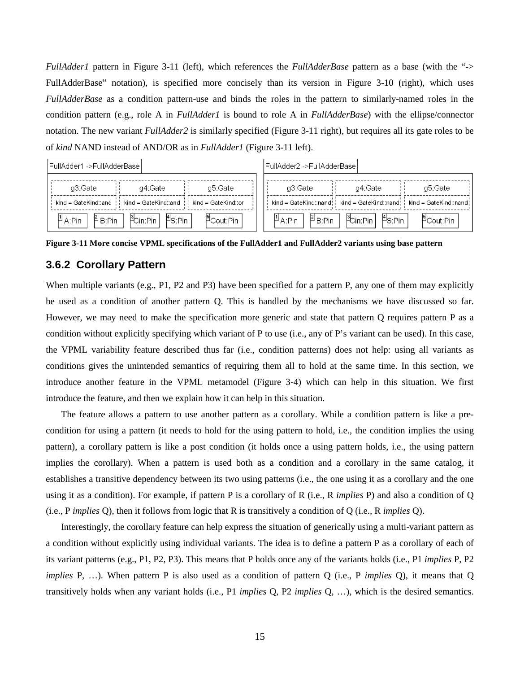*FullAdder1* pattern in Figure 3-11 (left), which references the *FullAdderBase* pattern as a base (with the "-> FullAdderBase" notation), is specified more concisely than its version in Figure 3-10 (right), which uses *FullAdderBase* as a condition pattern-use and binds the roles in the pattern to similarly-named roles in the condition pattern (e.g., role A in *FullAdder1* is bound to role A in *FullAdderBase*) with the ellipse/connector notation. The new variant *FullAdder2* is similarly specified (Figure 3-11 right), but requires all its gate roles to be of *kind* NAND instead of AND/OR as in *FullAdder1* (Figure 3-11 left).

| FullAdder1 ->FullAdderBase       |                                                                                                       |                                     | FullAdder2 ->FullAdderBase                                     |         |                                                                                                                                  |  |  |  |
|----------------------------------|-------------------------------------------------------------------------------------------------------|-------------------------------------|----------------------------------------------------------------|---------|----------------------------------------------------------------------------------------------------------------------------------|--|--|--|
| q3:Gate                          | a4:Gate                                                                                               | g5:Gate                             | g3:Gate                                                        | q4:Gate | g5:Gate                                                                                                                          |  |  |  |
|                                  | $\mathsf{kind} = \mathsf{GateKind} : \mathsf{and} : \mathsf{find} = \mathsf{GateKind} : \mathsf{and}$ | $\mathsf{kind} = \mathsf{GateKind}$ |                                                                |         | $\mathsf{kind} = \mathsf{GateKind}$ ::nand! $\mathsf{And} = \mathsf{GateKind}$ ::nand! $\mathsf{And} = \mathsf{GateKind}$ :nand! |  |  |  |
| $\mu_{\text{A:Pin}}$<br>Р́ В:Pin | PCin:Pin │ PS:Pin │                                                                                   | PCout:Pin                           | $\beta_{\rm B:Pin}$<br>$\mathsf{P}_{\mathsf{A}: \mathsf{Pin}}$ |         | PCout:Pin                                                                                                                        |  |  |  |

**Figure 3-11 More concise VPML specifications of the FullAdder1 and FullAdder2 variants using base pattern** 

### **3.6.2 Corollary Pattern**

When multiple variants (e.g., P1, P2 and P3) have been specified for a pattern P, any one of them may explicitly be used as a condition of another pattern Q. This is handled by the mechanisms we have discussed so far. However, we may need to make the specification more generic and state that pattern Q requires pattern P as a condition without explicitly specifying which variant of P to use (i.e., any of P's variant can be used). In this case, the VPML variability feature described thus far (i.e., condition patterns) does not help: using all variants as conditions gives the unintended semantics of requiring them all to hold at the same time. In this section, we introduce another feature in the VPML metamodel (Figure 3-4) which can help in this situation. We first introduce the feature, and then we explain how it can help in this situation.

The feature allows a pattern to use another pattern as a corollary. While a condition pattern is like a precondition for using a pattern (it needs to hold for the using pattern to hold, i.e., the condition implies the using pattern), a corollary pattern is like a post condition (it holds once a using pattern holds, i.e., the using pattern implies the corollary). When a pattern is used both as a condition and a corollary in the same catalog, it establishes a transitive dependency between its two using patterns (i.e., the one using it as a corollary and the one using it as a condition). For example, if pattern P is a corollary of R (i.e., R *implies* P) and also a condition of Q (i.e., P *implies* Q), then it follows from logic that R is transitively a condition of Q (i.e., R *implies* Q).

Interestingly, the corollary feature can help express the situation of generically using a multi-variant pattern as a condition without explicitly using individual variants. The idea is to define a pattern P as a corollary of each of its variant patterns (e.g., P1, P2, P3). This means that P holds once any of the variants holds (i.e., P1 *implies* P, P2 *implies* P, …). When pattern P is also used as a condition of pattern Q (i.e., P *implies* Q), it means that Q transitively holds when any variant holds (i.e., P1 *implies* Q, P2 *implies* Q, …), which is the desired semantics.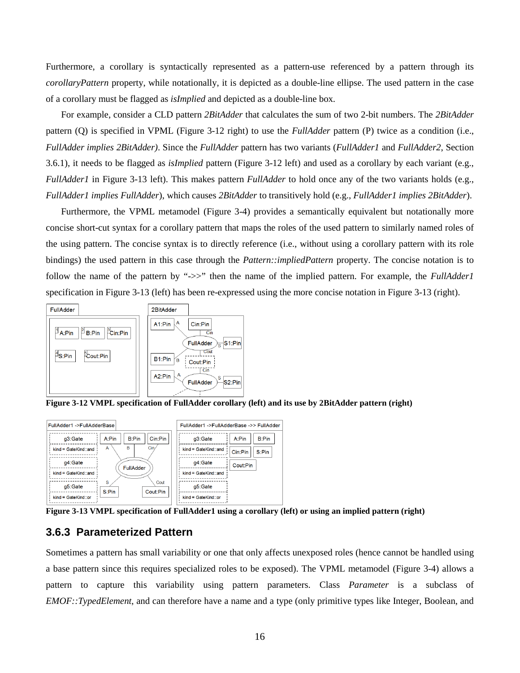Furthermore, a corollary is syntactically represented as a pattern-use referenced by a pattern through its *corollaryPattern* property, while notationally, it is depicted as a double-line ellipse. The used pattern in the case of a corollary must be flagged as *isImplied* and depicted as a double-line box.

For example, consider a CLD pattern *2BitAdder* that calculates the sum of two 2-bit numbers. The *2BitAdder* pattern (Q) is specified in VPML (Figure 3-12 right) to use the *FullAdder* pattern (P) twice as a condition (i.e., *FullAdder implies 2BitAdder)*. Since the *FullAdder* pattern has two variants (*FullAdder1* and *FullAdder2*, Section 3.6.1), it needs to be flagged as *isImplied* pattern (Figure 3-12 left) and used as a corollary by each variant (e.g., *FullAdder1* in Figure 3-13 left). This makes pattern *FullAdder* to hold once any of the two variants holds (e.g., *FullAdder1 implies FullAdder*), which causes *2BitAdder* to transitively hold (e.g., *FullAdder1 implies 2BitAdder*).

Furthermore, the VPML metamodel (Figure 3-4) provides a semantically equivalent but notationally more concise short-cut syntax for a corollary pattern that maps the roles of the used pattern to similarly named roles of the using pattern. The concise syntax is to directly reference (i.e., without using a corollary pattern with its role bindings) the used pattern in this case through the *Pattern::impliedPattern* property. The concise notation is to follow the name of the pattern by "->>" then the name of the implied pattern. For example, the *FullAdder1* specification in Figure 3-13 (left) has been re-expressed using the more concise notation in Figure 3-13 (right).



**Figure 3-12 VMPL specification of FullAdder corollary (left) and its use by 2BitAdder pattern (right)**



**Figure 3-13 VMPL specification of FullAdder1 using a corollary (left) or using an implied pattern (right)** 

#### **3.6.3 Parameterized Pattern**

Sometimes a pattern has small variability or one that only affects unexposed roles (hence cannot be handled using a base pattern since this requires specialized roles to be exposed). The VPML metamodel (Figure 3-4) allows a pattern to capture this variability using pattern parameters. Class *Parameter* is a subclass of *EMOF::TypedElement*, and can therefore have a name and a type (only primitive types like Integer, Boolean, and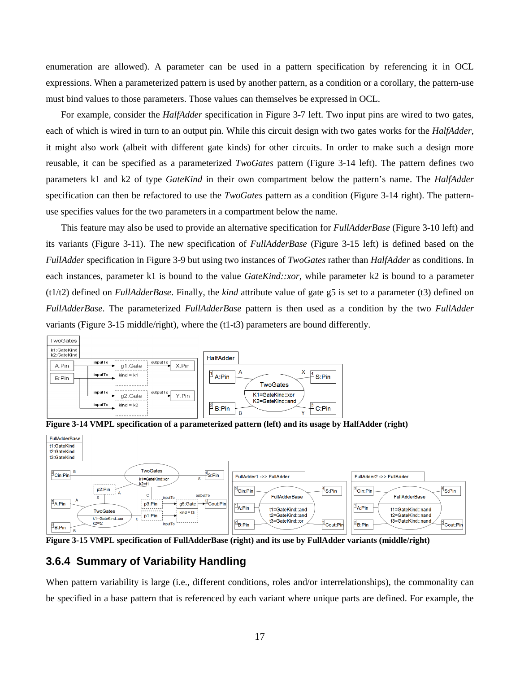enumeration are allowed). A parameter can be used in a pattern specification by referencing it in OCL expressions. When a parameterized pattern is used by another pattern, as a condition or a corollary, the pattern-use must bind values to those parameters. Those values can themselves be expressed in OCL.

For example, consider the *HalfAdder* specification in Figure 3-7 left. Two input pins are wired to two gates, each of which is wired in turn to an output pin. While this circuit design with two gates works for the *HalfAdder*, it might also work (albeit with different gate kinds) for other circuits. In order to make such a design more reusable, it can be specified as a parameterized *TwoGates* pattern (Figure 3-14 left). The pattern defines two parameters k1 and k2 of type *GateKind* in their own compartment below the pattern's name. The *HalfAdder* specification can then be refactored to use the *TwoGates* pattern as a condition (Figure 3-14 right). The patternuse specifies values for the two parameters in a compartment below the name.

This feature may also be used to provide an alternative specification for *FullAdderBase* (Figure 3-10 left) and its variants (Figure 3-11). The new specification of *FullAdderBase* (Figure 3-15 left) is defined based on the *FullAdder* specification in Figure 3-9 but using two instances of *TwoGates* rather than *HalfAdder* as conditions. In each instances, parameter k1 is bound to the value *GateKind::xor*, while parameter k2 is bound to a parameter (t1/t2) defined on *FullAdderBase*. Finally, the *kind* attribute value of gate g5 is set to a parameter (t3) defined on *FullAdderBase*. The parameterized *FullAdderBase* pattern is then used as a condition by the two *FullAdder* variants (Figure 3-15 middle/right), where the (t1-t3) parameters are bound differently.



**Figure 3-14 VMPL specification of a parameterized pattern (left) and its usage by HalfAdder (right)** 



**Figure 3-15 VMPL specification of FullAdderBase (right) and its use by FullAdder variants (middle/right)** 

#### **3.6.4 Summary of Variability Handling**

When pattern variability is large (i.e., different conditions, roles and/or interrelationships), the commonality can be specified in a base pattern that is referenced by each variant where unique parts are defined. For example, the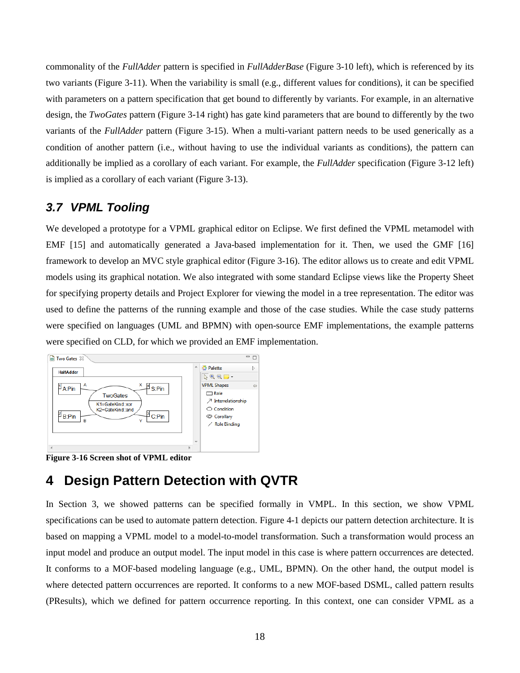commonality of the *FullAdder* pattern is specified in *FullAdderBase* (Figure 3-10 left), which is referenced by its two variants (Figure 3-11). When the variability is small (e.g., different values for conditions), it can be specified with parameters on a pattern specification that get bound to differently by variants. For example, in an alternative design, the *TwoGates* pattern (Figure 3-14 right) has gate kind parameters that are bound to differently by the two variants of the *FullAdder* pattern (Figure 3-15). When a multi-variant pattern needs to be used generically as a condition of another pattern (i.e., without having to use the individual variants as conditions), the pattern can additionally be implied as a corollary of each variant. For example, the *FullAdder* specification (Figure 3-12 left) is implied as a corollary of each variant (Figure 3-13).

## **3.7 VPML Tooling**

We developed a prototype for a VPML graphical editor on Eclipse. We first defined the VPML metamodel with EMF [15] and automatically generated a Java-based implementation for it. Then, we used the GMF [16] framework to develop an MVC style graphical editor (Figure 3-16). The editor allows us to create and edit VPML models using its graphical notation. We also integrated with some standard Eclipse views like the Property Sheet for specifying property details and Project Explorer for viewing the model in a tree representation. The editor was used to define the patterns of the running example and those of the case studies. While the case study patterns were specified on languages (UML and BPMN) with open-source EMF implementations, the example patterns were specified on CLD, for which we provided an EMF implementation.



**Figure 3-16 Screen shot of VPML editor** 

# **4 Design Pattern Detection with QVTR**

In Section 3, we showed patterns can be specified formally in VMPL. In this section, we show VPML specifications can be used to automate pattern detection. Figure 4-1 depicts our pattern detection architecture. It is based on mapping a VPML model to a model-to-model transformation. Such a transformation would process an input model and produce an output model. The input model in this case is where pattern occurrences are detected. It conforms to a MOF-based modeling language (e.g., UML, BPMN). On the other hand, the output model is where detected pattern occurrences are reported. It conforms to a new MOF-based DSML, called pattern results (PResults), which we defined for pattern occurrence reporting. In this context, one can consider VPML as a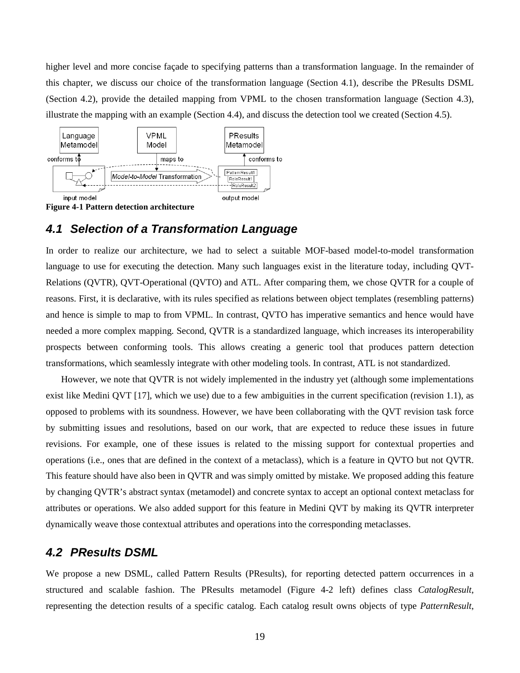higher level and more concise façade to specifying patterns than a transformation language. In the remainder of this chapter, we discuss our choice of the transformation language (Section 4.1), describe the PResults DSML (Section 4.2), provide the detailed mapping from VPML to the chosen transformation language (Section 4.3), illustrate the mapping with an example (Section 4.4), and discuss the detection tool we created (Section 4.5).



**Figure 4-1 Pattern detection architecture** 

## **4.1 Selection of a Transformation Language**

In order to realize our architecture, we had to select a suitable MOF-based model-to-model transformation language to use for executing the detection. Many such languages exist in the literature today, including QVT-Relations (QVTR), QVT-Operational (QVTO) and ATL. After comparing them, we chose QVTR for a couple of reasons. First, it is declarative, with its rules specified as relations between object templates (resembling patterns) and hence is simple to map to from VPML. In contrast, QVTO has imperative semantics and hence would have needed a more complex mapping. Second, QVTR is a standardized language, which increases its interoperability prospects between conforming tools. This allows creating a generic tool that produces pattern detection transformations, which seamlessly integrate with other modeling tools. In contrast, ATL is not standardized.

However, we note that QVTR is not widely implemented in the industry yet (although some implementations exist like Medini QVT [17], which we use) due to a few ambiguities in the current specification (revision 1.1), as opposed to problems with its soundness. However, we have been collaborating with the QVT revision task force by submitting issues and resolutions, based on our work, that are expected to reduce these issues in future revisions. For example, one of these issues is related to the missing support for contextual properties and operations (i.e., ones that are defined in the context of a metaclass), which is a feature in QVTO but not QVTR. This feature should have also been in QVTR and was simply omitted by mistake. We proposed adding this feature by changing QVTR's abstract syntax (metamodel) and concrete syntax to accept an optional context metaclass for attributes or operations. We also added support for this feature in Medini QVT by making its QVTR interpreter dynamically weave those contextual attributes and operations into the corresponding metaclasses.

#### **4.2 PResults DSML**

We propose a new DSML, called Pattern Results (PResults), for reporting detected pattern occurrences in a structured and scalable fashion. The PResults metamodel (Figure 4-2 left) defines class *CatalogResult*, representing the detection results of a specific catalog. Each catalog result owns objects of type *PatternResult*,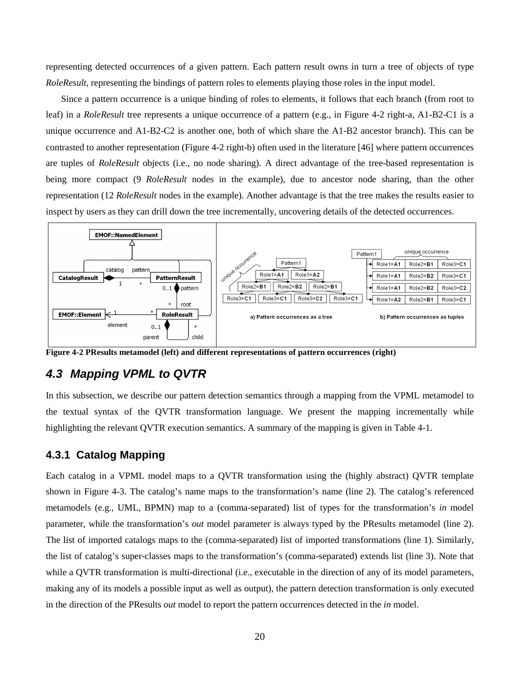representing detected occurrences of a given pattern. Each pattern result owns in turn a tree of objects of type *RoleResult,* representing the bindings of pattern roles to elements playing those roles in the input model.

Since a pattern occurrence is a unique binding of roles to elements, it follows that each branch (from root to leaf) in a *RoleResult* tree represents a unique occurrence of a pattern (e.g., in Figure 4-2 right-a, A1-B2-C1 is a unique occurrence and A1-B2-C2 is another one, both of which share the A1-B2 ancestor branch). This can be contrasted to another representation (Figure 4-2 right-b) often used in the literature [46] where pattern occurrences are tuples of *RoleResult* objects (i.e., no node sharing). A direct advantage of the tree-based representation is being more compact (9 *RoleResult* nodes in the example), due to ancestor node sharing, than the other representation (12 *RoleResult* nodes in the example). Another advantage is that the tree makes the results easier to inspect by users as they can drill down the tree incrementally, uncovering details of the detected occurrences.



**Figure 4-2 PResults metamodel (left) and different representations of pattern occurrences (right)** 

#### **4.3 Mapping VPML to QVTR**

In this subsection, we describe our pattern detection semantics through a mapping from the VPML metamodel to the textual syntax of the QVTR transformation language. We present the mapping incrementally while highlighting the relevant QVTR execution semantics. A summary of the mapping is given in Table 4-1.

#### **4.3.1 Catalog Mapping**

Each catalog in a VPML model maps to a QVTR transformation using the (highly abstract) QVTR template shown in Figure 4-3. The catalog's name maps to the transformation's name (line 2). The catalog's referenced metamodels (e.g., UML, BPMN) map to a (comma-separated) list of types for the transformation's *in* model parameter, while the transformation's *out* model parameter is always typed by the PResults metamodel (line 2). The list of imported catalogs maps to the (comma-separated) list of imported transformations (line 1). Similarly, the list of catalog's super-classes maps to the transformation's (comma-separated) extends list (line 3). Note that while a QVTR transformation is multi-directional (i.e., executable in the direction of any of its model parameters, making any of its models a possible input as well as output), the pattern detection transformation is only executed in the direction of the PResults *out* model to report the pattern occurrences detected in the *in* model.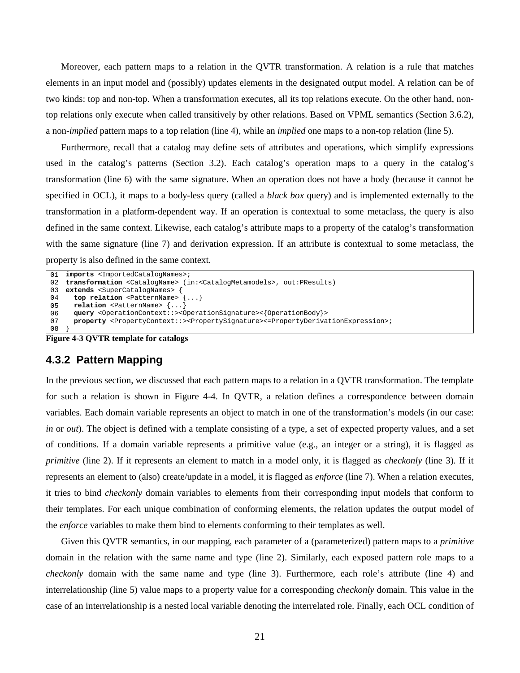Moreover, each pattern maps to a relation in the QVTR transformation. A relation is a rule that matches elements in an input model and (possibly) updates elements in the designated output model. A relation can be of two kinds: top and non-top. When a transformation executes, all its top relations execute. On the other hand, nontop relations only execute when called transitively by other relations. Based on VPML semantics (Section 3.6.2), a non-*implied* pattern maps to a top relation (line 4), while an *implied* one maps to a non-top relation (line 5).

Furthermore, recall that a catalog may define sets of attributes and operations, which simplify expressions used in the catalog's patterns (Section 3.2). Each catalog's operation maps to a query in the catalog's transformation (line 6) with the same signature. When an operation does not have a body (because it cannot be specified in OCL), it maps to a body-less query (called a *black box* query) and is implemented externally to the transformation in a platform-dependent way. If an operation is contextual to some metaclass, the query is also defined in the same context. Likewise, each catalog's attribute maps to a property of the catalog's transformation with the same signature (line 7) and derivation expression. If an attribute is contextual to some metaclass, the property is also defined in the same context.

```
\overline{01}02
transformation <CatalogName> (in:<CatalogMetamodels>, out:PResults) 
03
extends <SuperCatalogNames> { 
04
05
06
07
08
   imports <ImportedCatalogNames>; 
       top relation <PatternName> {...} 
      relation <PatternName> {...} 
       query <OperationContext::><OperationSignature><{OperationBody}> 
      property <PropertyContext::><PropertySignature><=PropertyDerivationExpression>; 
    }
```
**Figure 4-3 QVTR template for catalogs** 

#### **4.3.2 Pattern Mapping**

In the previous section, we discussed that each pattern maps to a relation in a QVTR transformation. The template for such a relation is shown in Figure 4-4. In QVTR, a relation defines a correspondence between domain variables. Each domain variable represents an object to match in one of the transformation's models (in our case: *in* or *out*). The object is defined with a template consisting of a type, a set of expected property values, and a set of conditions. If a domain variable represents a primitive value (e.g., an integer or a string), it is flagged as *primitive* (line 2). If it represents an element to match in a model only, it is flagged as *checkonly* (line 3). If it represents an element to (also) create/update in a model, it is flagged as *enforce* (line 7). When a relation executes, it tries to bind *checkonly* domain variables to elements from their corresponding input models that conform to their templates. For each unique combination of conforming elements, the relation updates the output model of the *enforce* variables to make them bind to elements conforming to their templates as well.

Given this QVTR semantics, in our mapping, each parameter of a (parameterized) pattern maps to a *primitive*  domain in the relation with the same name and type (line 2). Similarly, each exposed pattern role maps to a *checkonly* domain with the same name and type (line 3). Furthermore, each role's attribute (line 4) and interrelationship (line 5) value maps to a property value for a corresponding *checkonly* domain. This value in the case of an interrelationship is a nested local variable denoting the interrelated role. Finally, each OCL condition of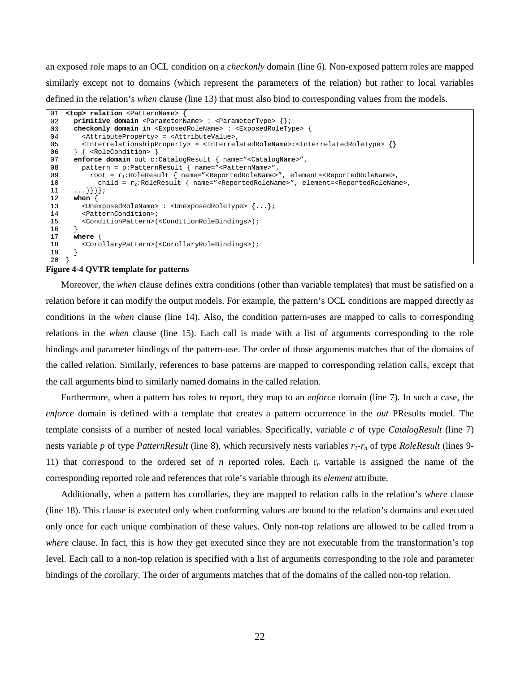an exposed role maps to an OCL condition on a *checkonly* domain (line 6). Non-exposed pattern roles are mapped similarly except not to domains (which represent the parameters of the relation) but rather to local variables defined in the relation's *when* clause (line 13) that must also bind to corresponding values from the models.

```
01
02
03
04
05
06
07
08
09
10
11
12
13
14
15
16
17
18
19
20
   <top> relation <PatternName> { 
       primitive domain <ParameterName> : <ParameterType> {}; 
       checkonly domain in <ExposedRoleName> : <ExposedRoleType> { 
         <AttributeProperty> = <AttributeValue>, 
         <InterrelationshipProperty> = <InterrelatedRoleName>:<InterrelatedRoleType> {} 
       } { <RoleCondition> } 
       enforce domain out c:CatalogResult { name="<CatalogName>", 
         pattern = p:PatternResult { name="<PatternName>", 
           root = r1:RoleResult { name="<ReportedRoleName>", element=<ReportedRoleName>, 
             child = r2:RoleResult { name="<ReportedRoleName>", element=<ReportedRoleName>, 
        ...}}}}; 
       when { 
         <UnexposedRoleName> : <UnexposedRoleType> {...}; 
         <PatternCondition>; 
         <ConditionPattern>(<ConditionRoleBindings>); 
     } 
       where { 
         <CorollaryPattern>(<CorollaryRoleBindings>); 
       } 
    }
```
#### **Figure 4-4 QVTR template for patterns**

Moreover, the *when* clause defines extra conditions (other than variable templates) that must be satisfied on a relation before it can modify the output models. For example, the pattern's OCL conditions are mapped directly as conditions in the *when* clause (line 14). Also, the condition pattern-uses are mapped to calls to corresponding relations in the *when* clause (line 15). Each call is made with a list of arguments corresponding to the role bindings and parameter bindings of the pattern-use. The order of those arguments matches that of the domains of the called relation. Similarly, references to base patterns are mapped to corresponding relation calls, except that the call arguments bind to similarly named domains in the called relation.

Furthermore, when a pattern has roles to report, they map to an *enforce* domain (line 7). In such a case, the *enforce* domain is defined with a template that creates a pattern occurrence in the *out* PResults model. The template consists of a number of nested local variables. Specifically, variable *c* of type *CatalogResult* (line 7) nests variable *p* of type *PatternResult* (line 8), which recursively nests variables *r1-rn* of type *RoleResult* (lines 9- 11) that correspond to the ordered set of *n* reported roles. Each r*n* variable is assigned the name of the corresponding reported role and references that role's variable through its *element* attribute.

Additionally, when a pattern has corollaries, they are mapped to relation calls in the relation's *where* clause (line 18). This clause is executed only when conforming values are bound to the relation's domains and executed only once for each unique combination of these values. Only non-top relations are allowed to be called from a *where* clause. In fact, this is how they get executed since they are not executable from the transformation's top level. Each call to a non-top relation is specified with a list of arguments corresponding to the role and parameter bindings of the corollary. The order of arguments matches that of the domains of the called non-top relation.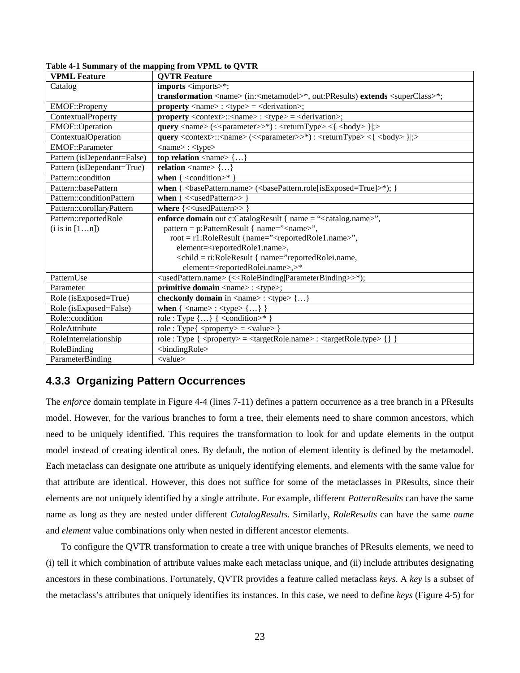| <b>VPML Feature</b>         | <b>OVTR Feature</b>                                                                                                                       |  |  |  |  |  |  |
|-----------------------------|-------------------------------------------------------------------------------------------------------------------------------------------|--|--|--|--|--|--|
| Catalog                     | imports <imports>*;</imports>                                                                                                             |  |  |  |  |  |  |
|                             | transformation <name> (in:<metamodel>*, out:PResults) extends <superclass>*;</superclass></metamodel></name>                              |  |  |  |  |  |  |
| EMOF::Property              | <b>property</b> <name>: <type> = <derivation>;</derivation></type></name>                                                                 |  |  |  |  |  |  |
| ContextualProperty          | <b>property</b> <context>::<name>: <type> = <derivation>;</derivation></type></name></context>                                            |  |  |  |  |  |  |
| EMOF::Operation             | query <name> (&lt;<parameter>&gt;*) : <returntype> &lt;{ <br/> <br/>body&gt; } ;&gt;</returntype></parameter></name>                      |  |  |  |  |  |  |
| ContextualOperation         | query <context>::<name> (&lt;<parameter>&gt;*) : <returntype> &lt;{ <br/> <br/>body&gt; } ;&gt;</returntype></parameter></name></context> |  |  |  |  |  |  |
| <b>EMOF::Parameter</b>      | $\langle$ name $>$ : $\langle$ type $>$                                                                                                   |  |  |  |  |  |  |
| Pattern (isDependant=False) | top relation $\langle$ name $>\$ $\{\ldots\}$                                                                                             |  |  |  |  |  |  |
| Pattern (isDependant=True)  | relation $\langle$ name $\rangle$ {}                                                                                                      |  |  |  |  |  |  |
| Pattern::condition          | when $\{$ <condition>* <math>\}</math></condition>                                                                                        |  |  |  |  |  |  |
| Pattern::basePattern        | when $\{\langle\text{basePattern.name}\rangle\langle\langle\text{basePattern.nole}[\text{isExposed}=\text{True}]\rangle^*\}$ ;            |  |  |  |  |  |  |
| Pattern::conditionPattern   | when $\{\ll$ usedPattern>>                                                                                                                |  |  |  |  |  |  |
| Pattern::corollaryPattern   | where $\{\ll\}$ usedPattern>>                                                                                                             |  |  |  |  |  |  |
| Pattern::reportedRole       | enforce domain out c:CatalogResult { name = " <catalog.name>",</catalog.name>                                                             |  |  |  |  |  |  |
| $(i$ is in $[1n]$ )         | pattern = p:PatternResult { name=" <name>",</name>                                                                                        |  |  |  |  |  |  |
|                             | root = r1:RoleResult {name=" <reportedrole1.name>",</reportedrole1.name>                                                                  |  |  |  |  |  |  |
|                             | element= <reportedrole1.name>,</reportedrole1.name>                                                                                       |  |  |  |  |  |  |
|                             | <child = ri:RoleResult { name="reportedRolei.name,</td>                                                                                   |  |  |  |  |  |  |
|                             | element= <reportedrolei.name>,&gt;*</reportedrolei.name>                                                                                  |  |  |  |  |  |  |
| PatternUse                  | <usedpattern.name> (&lt;<rolebinding parameterbinding>&gt;*);</rolebinding parameterbinding></usedpattern.name>                           |  |  |  |  |  |  |
| Parameter                   | primitive domain <name>: <type>;</type></name>                                                                                            |  |  |  |  |  |  |
| Role (isExposed=True)       | checkonly domain in <name>: <type> {}</type></name>                                                                                       |  |  |  |  |  |  |
| Role (isExposed=False)      | when $\{$ <name><math>:</math> <type><math>\{\}</math>}</type></name>                                                                     |  |  |  |  |  |  |
| Role::condition             | role : Type $\{\}$ $\{\ll\text{condition}\rightarrow^*\}$                                                                                 |  |  |  |  |  |  |
| RoleAttribute               | $role: Type\{  = $                                                                                                                        |  |  |  |  |  |  |
| RoleInterrelationship       | role: Type { <property> = <targetrole.name> : <targetrole.type> { } }</targetrole.type></targetrole.name></property>                      |  |  |  |  |  |  |
| RoleBinding                 | <br>bindingRole>                                                                                                                          |  |  |  |  |  |  |
| ParameterBinding            | <value></value>                                                                                                                           |  |  |  |  |  |  |

**Table 4-1 Summary of the mapping from VPML to QVTR**

### **4.3.3 Organizing Pattern Occurrences**

The *enforce* domain template in Figure 4-4 (lines 7-11) defines a pattern occurrence as a tree branch in a PResults model. However, for the various branches to form a tree, their elements need to share common ancestors, which need to be uniquely identified. This requires the transformation to look for and update elements in the output model instead of creating identical ones. By default, the notion of element identity is defined by the metamodel. Each metaclass can designate one attribute as uniquely identifying elements, and elements with the same value for that attribute are identical. However, this does not suffice for some of the metaclasses in PResults, since their elements are not uniquely identified by a single attribute. For example, different *PatternResults* can have the same name as long as they are nested under different *CatalogResults*. Similarly, *RoleResults* can have the same *name* and *element* value combinations only when nested in different ancestor elements.

To configure the QVTR transformation to create a tree with unique branches of PResults elements, we need to (i) tell it which combination of attribute values make each metaclass unique, and (ii) include attributes designating ancestors in these combinations. Fortunately, QVTR provides a feature called metaclass *keys*. A *key* is a subset of the metaclass's attributes that uniquely identifies its instances. In this case, we need to define *keys* (Figure 4-5) for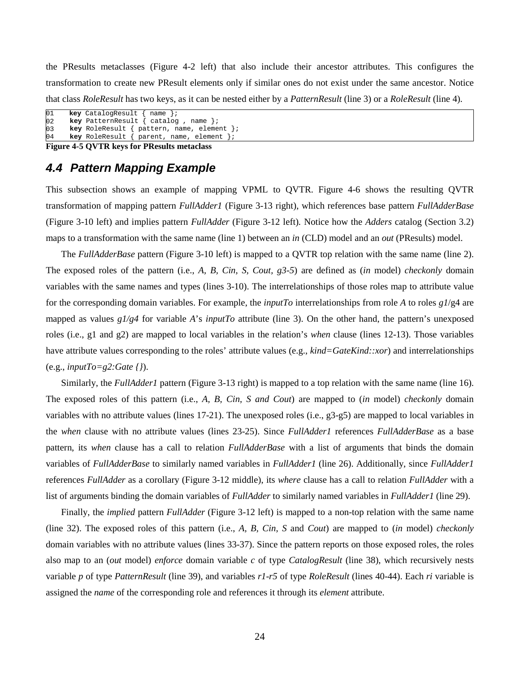the PResults metaclasses (Figure 4-2 left) that also include their ancestor attributes. This configures the transformation to create new PResult elements only if similar ones do not exist under the same ancestor. Notice that class *RoleResult* has two keys, as it can be nested either by a *PatternResult* (line 3) or a *RoleResult* (line 4).

```
01
02
03
04
       key CatalogResult { name }; 
       key PatternResult { catalog , name }; 
       key RoleResult { pattern, name, element }; 
       key RoleResult { parent, name, element };
```
#### **Figure 4-5 QVTR keys for PResults metaclass**

## **4.4 Pattern Mapping Example**

This subsection shows an example of mapping VPML to QVTR. Figure 4-6 shows the resulting QVTR transformation of mapping pattern *FullAdder1* (Figure 3-13 right), which references base pattern *FullAdderBase* (Figure 3-10 left) and implies pattern *FullAdder* (Figure 3-12 left)*.* Notice how the *Adders* catalog (Section 3.2) maps to a transformation with the same name (line 1) between an *in* (CLD) model and an *out* (PResults) model.

The *FullAdderBase* pattern (Figure 3-10 left) is mapped to a QVTR top relation with the same name (line 2). The exposed roles of the pattern (i.e., *A, B, Cin, S, Cout, g3-5*) are defined as (*in* model) *checkonly* domain variables with the same names and types (lines 3-10). The interrelationships of those roles map to attribute value for the corresponding domain variables. For example, the *inputTo* interrelationships from role *A* to roles *g1*/g4 are mapped as values *g1/g4* for variable *A*'s *inputTo* attribute (line 3). On the other hand, the pattern's unexposed roles (i.e., g1 and g2) are mapped to local variables in the relation's *when* clause (lines 12-13). Those variables have attribute values corresponding to the roles' attribute values (e.g., *kind=GateKind::xor*) and interrelationships (e.g., *inputTo=g2:Gate {}*).

Similarly, the *FullAdder1* pattern (Figure 3-13 right) is mapped to a top relation with the same name (line 16). The exposed roles of this pattern (i.e., *A, B, Cin, S and Cout*) are mapped to (*in* model) *checkonly* domain variables with no attribute values (lines 17-21). The unexposed roles (i.e., g3-g5) are mapped to local variables in the *when* clause with no attribute values (lines 23-25). Since *FullAdder1* references *FullAdderBase* as a base pattern, its *when* clause has a call to relation *FullAdderBase* with a list of arguments that binds the domain variables of *FullAdderBase* to similarly named variables in *FullAdder1* (line 26). Additionally, since *FullAdder1* references *FullAdder* as a corollary (Figure 3-12 middle), its *where* clause has a call to relation *FullAdder* with a list of arguments binding the domain variables of *FullAdder* to similarly named variables in *FullAdder1* (line 29).

Finally, the *implied* pattern *FullAdder* (Figure 3-12 left) is mapped to a non-top relation with the same name (line 32). The exposed roles of this pattern (i.e., *A, B, Cin, S* and *Cout*) are mapped to (*in* model) *checkonly* domain variables with no attribute values (lines 33-37). Since the pattern reports on those exposed roles, the roles also map to an (*out* model) *enforce* domain variable *c* of type *CatalogResult* (line 38), which recursively nests variable *p* of type *PatternResult* (line 39), and variables *r1*-*r5* of type *RoleResult* (lines 40-44). Each *ri* variable is assigned the *name* of the corresponding role and references it through its *element* attribute.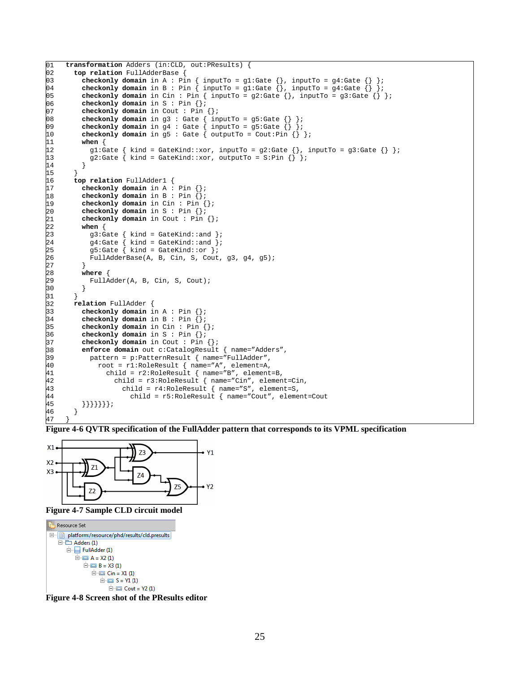```
01
02
03
04
05
06
07
08
09
10
11
12
13
14
15
16
17
18
19
20
21
22
23
24
25
26
27
28
29
30
31
32
33
34
35
36
37
38
39
40
41
42
43
44
45
46
47
     transformation Adders (in:CLD, out:PResults) { 
        top relation FullAdderBase { 
     checkonly domain in A : Pin \{ inputTo = g1:Gate \{\}, inputTo = g4:Gate \{\} };
     checkonly domain in B : Pin { inputTo = gl:Gate {}, inputTo = gl:Gate {} };
         checkonly domain in Cin : Pin \{ inputTo = g2:Gate \{}, inputTo = g3:Gate \{} ;
          checkonly domain in S : Pin {}; 
          checkonly domain in Cout : Pin {}; 
         checkonly domain in g3 : Gate \{ \text{inputTo = g5:Gate } \};
      checkonly domain in g4 : Gate { inputTo = g5:Gate {} }; 
      checkonly domain in g5 : Gate { outputTo = Cout:Pin {} }; 
          when { 
           g1:Gate { kind = GateKind::xor, inputTo = g2:Gate {}, inputTo = g3:Gate {} };
            g2:Gate { kind = GateKind::xor, outputTo = S:Pin {} }; 
      } 
        } 
        top relation FullAdder1 { 
          checkonly domain in A : Pin {}; 
          checkonly domain in B : Pin {}; 
          checkonly domain in Cin : Pin {}; 
          checkonly domain in S : Pin {}; 
          checkonly domain in Cout : Pin {}; 
          when { 
            g3:Gate { kind = GateKind::and }; 
      g4:Gate { kind = GateKind::and }; 
      g5:Gate { kind = GateKind::or }; 
            FullAdderBase(A, B, Cin, S, Cout, g3, g4, g5); 
      } 
          where { 
            FullAdder(A, B, Cin, S, Cout); 
          } 
        } 
        relation FullAdder { 
          checkonly domain in A : Pin {}; 
          checkonly domain in B : Pin {}; 
          checkonly domain in Cin : Pin {}; 
          checkonly domain in S : Pin {}; 
          checkonly domain in Cout : Pin {}; 
          enforce domain out c:CatalogResult { name="Adders", 
            pattern = p:PatternResult { name="FullAdder",
              root = r1:RoleResult { name="A", element=A,
                 child = r2:RoleResult { name="B", element=B, 
                   child = r3:RoleResult { name="Cin", element=Cin, 
                     child = r4:RoleResult { name="S", element=S, 
                       child = r5:RoleResult { name="Cout", element=Cout 
          }}}}}}}; 
        } 
     }
```
**Figure 4-6 QVTR specification of the FullAdder pattern that corresponds to its VPML specification** 



**Figure 4-7 Sample CLD circuit model** 

```
Resource Set
D- Diatform:/resource/phd/results/cld.presults
          □ Adders (1)
                   \Box FullAdder (1)
                             \Box \Box A = X2 (1)
                                       \Box B = X3 (1)
                                                \overline{E} \overline{E} \overline{E} \overline{C} \overline{D} \overline{E} \overline{E} \overline{E} \overline{E} \overline{E} \overline{E} \overline{E} \overline{E} \overline{E} \overline{E} \overline{E} \overline{E} \overline{E} \overline{E} \overline{E} \overline{E} \overline{E} \overline{E} \overline{E} \overline{\stackrel{\cdot}{\Box} \stackrel{\cdot}{\Box} S = Y1 (1)
                                                                   \Box Cout = Y2 (1)
```
**Figure 4-8 Screen shot of the PResults editor**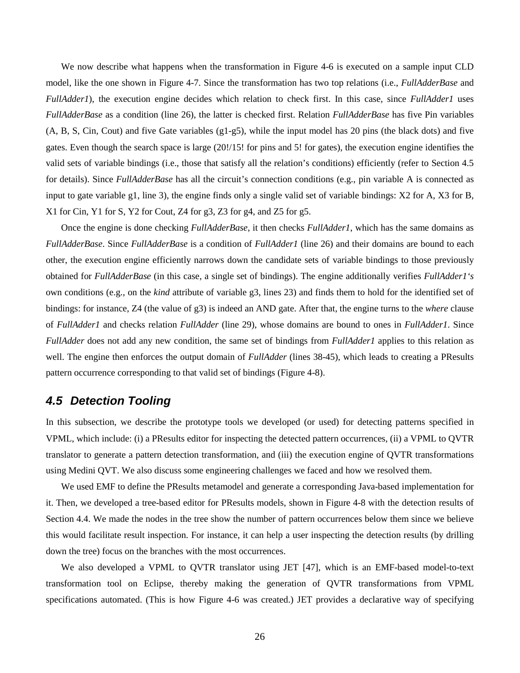We now describe what happens when the transformation in Figure 4-6 is executed on a sample input CLD model, like the one shown in Figure 4-7. Since the transformation has two top relations (i.e., *FullAdderBase* and *FullAdder1*), the execution engine decides which relation to check first. In this case, since *FullAdder1* uses *FullAdderBase* as a condition (line 26), the latter is checked first. Relation *FullAdderBase* has five Pin variables (A, B, S, Cin, Cout) and five Gate variables (g1-g5), while the input model has 20 pins (the black dots) and five gates. Even though the search space is large (20!/15! for pins and 5! for gates), the execution engine identifies the valid sets of variable bindings (i.e., those that satisfy all the relation's conditions) efficiently (refer to Section 4.5 for details). Since *FullAdderBase* has all the circuit's connection conditions (e.g., pin variable A is connected as input to gate variable g1, line 3), the engine finds only a single valid set of variable bindings: X2 for A, X3 for B, X1 for Cin, Y1 for S, Y2 for Cout, Z4 for g3, Z3 for g4, and Z5 for g5.

Once the engine is done checking *FullAdderBase*, it then checks *FullAdder1*, which has the same domains as *FullAdderBase*. Since *FullAdderBase* is a condition of *FullAdder1* (line 26) and their domains are bound to each other, the execution engine efficiently narrows down the candidate sets of variable bindings to those previously obtained for *FullAdderBase* (in this case, a single set of bindings). The engine additionally verifies *FullAdder1's*  own conditions (e.g., on the *kind* attribute of variable g3, lines 23) and finds them to hold for the identified set of bindings: for instance, Z4 (the value of g3) is indeed an AND gate. After that, the engine turns to the *where* clause of *FullAdder1* and checks relation *FullAdder* (line 29), whose domains are bound to ones in *FullAdder1*. Since *FullAdder* does not add any new condition, the same set of bindings from *FullAdder1* applies to this relation as well. The engine then enforces the output domain of *FullAdder* (lines 38-45), which leads to creating a PResults pattern occurrence corresponding to that valid set of bindings (Figure 4-8).

#### **4.5 Detection Tooling**

In this subsection, we describe the prototype tools we developed (or used) for detecting patterns specified in VPML, which include: (i) a PResults editor for inspecting the detected pattern occurrences, (ii) a VPML to QVTR translator to generate a pattern detection transformation, and (iii) the execution engine of QVTR transformations using Medini QVT. We also discuss some engineering challenges we faced and how we resolved them.

We used EMF to define the PResults metamodel and generate a corresponding Java-based implementation for it. Then, we developed a tree-based editor for PResults models, shown in Figure 4-8 with the detection results of Section 4.4. We made the nodes in the tree show the number of pattern occurrences below them since we believe this would facilitate result inspection. For instance, it can help a user inspecting the detection results (by drilling down the tree) focus on the branches with the most occurrences.

We also developed a VPML to QVTR translator using JET [47], which is an EMF-based model-to-text transformation tool on Eclipse, thereby making the generation of QVTR transformations from VPML specifications automated. (This is how Figure 4-6 was created.) JET provides a declarative way of specifying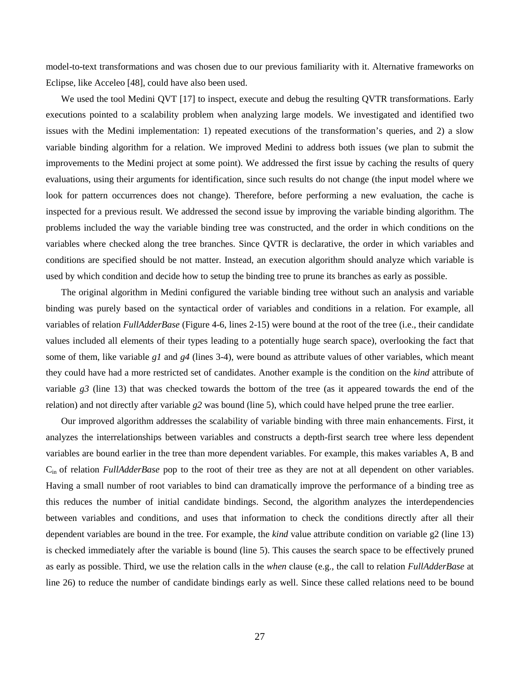model-to-text transformations and was chosen due to our previous familiarity with it. Alternative frameworks on Eclipse, like Acceleo [48], could have also been used.

We used the tool Medini QVT [17] to inspect, execute and debug the resulting QVTR transformations. Early executions pointed to a scalability problem when analyzing large models. We investigated and identified two issues with the Medini implementation: 1) repeated executions of the transformation's queries, and 2) a slow variable binding algorithm for a relation. We improved Medini to address both issues (we plan to submit the improvements to the Medini project at some point). We addressed the first issue by caching the results of query evaluations, using their arguments for identification, since such results do not change (the input model where we look for pattern occurrences does not change). Therefore, before performing a new evaluation, the cache is inspected for a previous result. We addressed the second issue by improving the variable binding algorithm. The problems included the way the variable binding tree was constructed, and the order in which conditions on the variables where checked along the tree branches. Since QVTR is declarative, the order in which variables and conditions are specified should be not matter. Instead, an execution algorithm should analyze which variable is used by which condition and decide how to setup the binding tree to prune its branches as early as possible.

The original algorithm in Medini configured the variable binding tree without such an analysis and variable binding was purely based on the syntactical order of variables and conditions in a relation. For example, all variables of relation *FullAdderBase* (Figure 4-6, lines 2-15) were bound at the root of the tree (i.e., their candidate values included all elements of their types leading to a potentially huge search space), overlooking the fact that some of them, like variable *g1* and *g4* (lines 3-4), were bound as attribute values of other variables, which meant they could have had a more restricted set of candidates. Another example is the condition on the *kind* attribute of variable *g3* (line 13) that was checked towards the bottom of the tree (as it appeared towards the end of the relation) and not directly after variable *g2* was bound (line 5), which could have helped prune the tree earlier.

Our improved algorithm addresses the scalability of variable binding with three main enhancements. First, it analyzes the interrelationships between variables and constructs a depth-first search tree where less dependent variables are bound earlier in the tree than more dependent variables. For example, this makes variables A, B and Cin of relation *FullAdderBase* pop to the root of their tree as they are not at all dependent on other variables. Having a small number of root variables to bind can dramatically improve the performance of a binding tree as this reduces the number of initial candidate bindings. Second, the algorithm analyzes the interdependencies between variables and conditions, and uses that information to check the conditions directly after all their dependent variables are bound in the tree. For example, the *kind* value attribute condition on variable g2 (line 13) is checked immediately after the variable is bound (line 5). This causes the search space to be effectively pruned as early as possible. Third, we use the relation calls in the *when* clause (e.g., the call to relation *FullAdderBase* at line 26) to reduce the number of candidate bindings early as well. Since these called relations need to be bound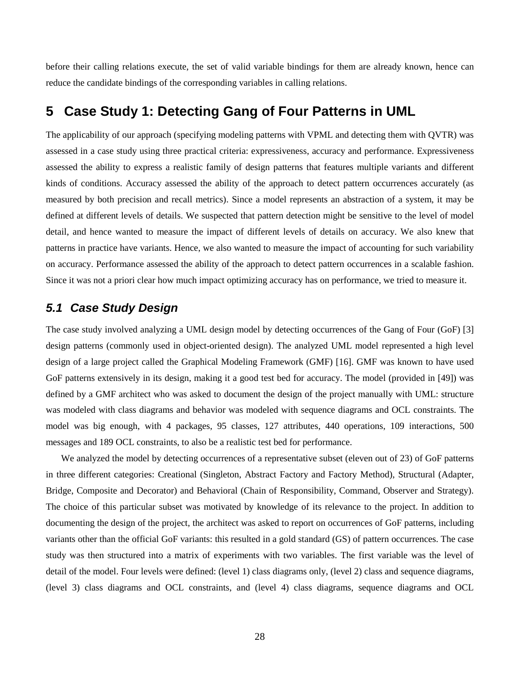before their calling relations execute, the set of valid variable bindings for them are already known, hence can reduce the candidate bindings of the corresponding variables in calling relations.

## **5 Case Study 1: Detecting Gang of Four Patterns in UML**

The applicability of our approach (specifying modeling patterns with VPML and detecting them with QVTR) was assessed in a case study using three practical criteria: expressiveness, accuracy and performance. Expressiveness assessed the ability to express a realistic family of design patterns that features multiple variants and different kinds of conditions. Accuracy assessed the ability of the approach to detect pattern occurrences accurately (as measured by both precision and recall metrics). Since a model represents an abstraction of a system, it may be defined at different levels of details. We suspected that pattern detection might be sensitive to the level of model detail, and hence wanted to measure the impact of different levels of details on accuracy. We also knew that patterns in practice have variants. Hence, we also wanted to measure the impact of accounting for such variability on accuracy. Performance assessed the ability of the approach to detect pattern occurrences in a scalable fashion. Since it was not a priori clear how much impact optimizing accuracy has on performance, we tried to measure it.

#### **5.1 Case Study Design**

The case study involved analyzing a UML design model by detecting occurrences of the Gang of Four (GoF) [3] design patterns (commonly used in object-oriented design). The analyzed UML model represented a high level design of a large project called the Graphical Modeling Framework (GMF) [16]. GMF was known to have used GoF patterns extensively in its design, making it a good test bed for accuracy. The model (provided in [49]) was defined by a GMF architect who was asked to document the design of the project manually with UML: structure was modeled with class diagrams and behavior was modeled with sequence diagrams and OCL constraints. The model was big enough, with 4 packages, 95 classes, 127 attributes, 440 operations, 109 interactions, 500 messages and 189 OCL constraints, to also be a realistic test bed for performance.

We analyzed the model by detecting occurrences of a representative subset (eleven out of 23) of GoF patterns in three different categories: Creational (Singleton, Abstract Factory and Factory Method), Structural (Adapter, Bridge, Composite and Decorator) and Behavioral (Chain of Responsibility, Command, Observer and Strategy). The choice of this particular subset was motivated by knowledge of its relevance to the project. In addition to documenting the design of the project, the architect was asked to report on occurrences of GoF patterns, including variants other than the official GoF variants: this resulted in a gold standard (GS) of pattern occurrences. The case study was then structured into a matrix of experiments with two variables. The first variable was the level of detail of the model. Four levels were defined: (level 1) class diagrams only, (level 2) class and sequence diagrams, (level 3) class diagrams and OCL constraints, and (level 4) class diagrams, sequence diagrams and OCL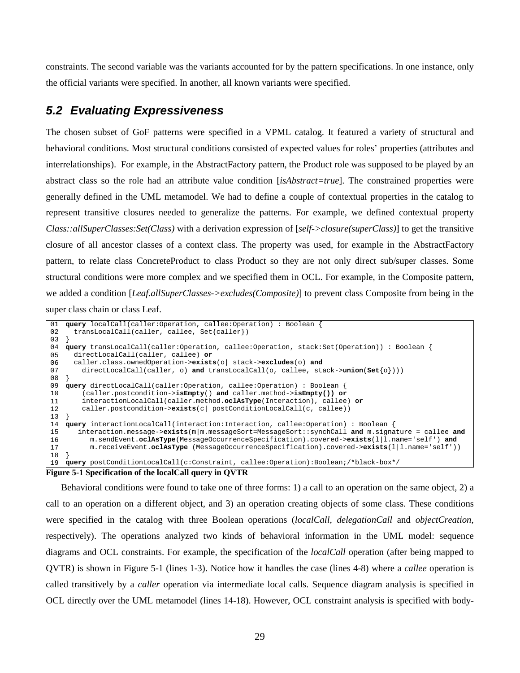constraints. The second variable was the variants accounted for by the pattern specifications. In one instance, only the official variants were specified. In another, all known variants were specified.

## **5.2 Evaluating Expressiveness**

The chosen subset of GoF patterns were specified in a VPML catalog. It featured a variety of structural and behavioral conditions. Most structural conditions consisted of expected values for roles' properties (attributes and interrelationships). For example, in the AbstractFactory pattern, the Product role was supposed to be played by an abstract class so the role had an attribute value condition [*isAbstract=true*]. The constrained properties were generally defined in the UML metamodel. We had to define a couple of contextual properties in the catalog to represent transitive closures needed to generalize the patterns. For example, we defined contextual property *Class::allSuperClasses:Set(Class)* with a derivation expression of [*self->closure(superClass)*] to get the transitive closure of all ancestor classes of a context class. The property was used, for example in the AbstractFactory pattern, to relate class ConcreteProduct to class Product so they are not only direct sub/super classes. Some structural conditions were more complex and we specified them in OCL. For example, in the Composite pattern, we added a condition [*Leaf.allSuperClasses->excludes(Composite)*] to prevent class Composite from being in the super class chain or class Leaf.

```
0102
03
} 
04
query transLocalCall(caller:Operation, callee:Operation, stack:Set(Operation)) : Boolean { 
0506
07
08
} 
09
query directLocalCall(caller:Operation, callee:Operation) : Boolean { 
10
11
12
13
} 
14
query interactionLocalCall(interaction:Interaction, callee:Operation) : Boolean { 
15
16
17
18
} 
19
   query localCall(caller:Operation, callee:Operation) : Boolean { 
      transLocalCall(caller, callee, Set{caller}) 
      directLocalCall(caller, callee) or 
      caller.class.ownedOperation->exists(o| stack->excludes(o) and 
         directLocalCall(caller, o) and transLocalCall(o, callee, stack->union(Set{o}))) 
         (caller.postcondition->isEmpty() and caller.method->isEmpty()) or 
         interactionLocalCall(caller.method.oclAsType(Interaction), callee) or
         caller.postcondition->exists(c| postConditionLocalCall(c, callee)) 
        interaction.message->exists(m|m.messageSort=MessageSort::synchCall and m.signature = callee and
          m.sendEvent.oclAsType(MessageOccurrenceSpecification).covered->exists(l|l.name='self') and
          m.receiveEvent.oclAsType (MessageOccurrenceSpecification).covered->exists(l|l.name='self')) 
   query postConditionLocalCall(c:Constraint, callee:Operation):Boolean;/*black-box*/
```
**Figure 5-1 Specification of the localCall query in QVTR** 

Behavioral conditions were found to take one of three forms: 1) a call to an operation on the same object, 2) a call to an operation on a different object, and 3) an operation creating objects of some class. These conditions were specified in the catalog with three Boolean operations (*localCall*, *delegationCall* and *objectCreation*, respectively). The operations analyzed two kinds of behavioral information in the UML model: sequence diagrams and OCL constraints. For example, the specification of the *localCall* operation (after being mapped to QVTR) is shown in Figure 5-1 (lines 1-3). Notice how it handles the case (lines 4-8) where a *callee* operation is called transitively by a *caller* operation via intermediate local calls. Sequence diagram analysis is specified in OCL directly over the UML metamodel (lines 14-18). However, OCL constraint analysis is specified with body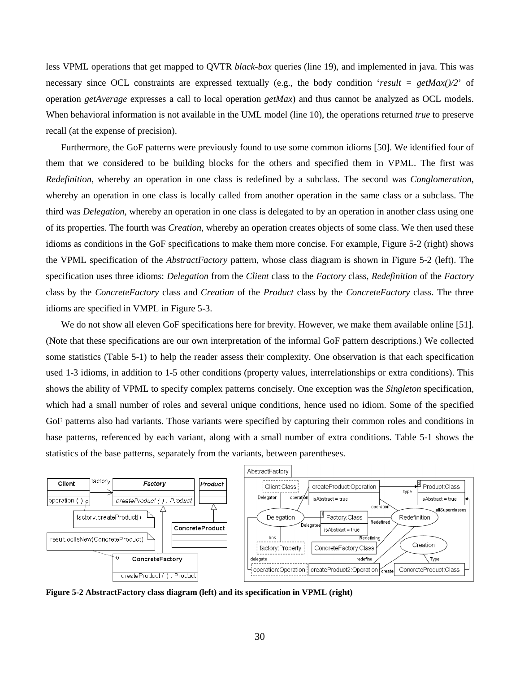less VPML operations that get mapped to QVTR *black-box* queries (line 19), and implemented in java. This was necessary since OCL constraints are expressed textually (e.g., the body condition '*result = getMax()/2*' of operation *getAverage* expresses a call to local operation *getMax*) and thus cannot be analyzed as OCL models. When behavioral information is not available in the UML model (line 10), the operations returned *true* to preserve recall (at the expense of precision).

Furthermore, the GoF patterns were previously found to use some common idioms [50]. We identified four of them that we considered to be building blocks for the others and specified them in VPML. The first was *Redefinition*, whereby an operation in one class is redefined by a subclass. The second was *Conglomeration*, whereby an operation in one class is locally called from another operation in the same class or a subclass. The third was *Delegation*, whereby an operation in one class is delegated to by an operation in another class using one of its properties. The fourth was *Creation*, whereby an operation creates objects of some class. We then used these idioms as conditions in the GoF specifications to make them more concise. For example, Figure 5-2 (right) shows the VPML specification of the *AbstractFactory* pattern, whose class diagram is shown in Figure 5-2 (left). The specification uses three idioms: *Delegation* from the *Client* class to the *Factory* class, *Redefinition* of the *Factory* class by the *ConcreteFactory* class and *Creation* of the *Product* class by the *ConcreteFactory* class. The three idioms are specified in VMPL in Figure 5-3.

We do not show all eleven GoF specifications here for brevity. However, we make them available online [51]. (Note that these specifications are our own interpretation of the informal GoF pattern descriptions.) We collected some statistics (Table 5-1) to help the reader assess their complexity. One observation is that each specification used 1-3 idioms, in addition to 1-5 other conditions (property values, interrelationships or extra conditions). This shows the ability of VPML to specify complex patterns concisely. One exception was the *Singleton* specification, which had a small number of roles and several unique conditions, hence used no idiom. Some of the specified GoF patterns also had variants. Those variants were specified by capturing their common roles and conditions in base patterns, referenced by each variant, along with a small number of extra conditions. Table 5-1 shows the statistics of the base patterns, separately from the variants, between parentheses.



**Figure 5-2 AbstractFactory class diagram (left) and its specification in VPML (right)**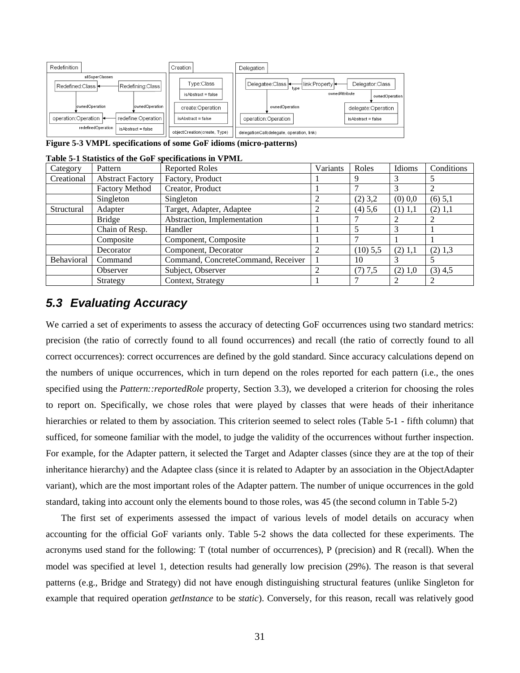

**Figure 5-3 VMPL specifications of some GoF idioms (micro-patterns)** 

|            |                         | lable 5-1 Statistics of the Gor specifications in VPML |          |            |           |            |
|------------|-------------------------|--------------------------------------------------------|----------|------------|-----------|------------|
| Category   | Pattern                 | <b>Reported Roles</b>                                  | Variants | Roles      | Idioms    | Conditions |
| Creational | <b>Abstract Factory</b> | Factory, Product                                       |          | 9          |           |            |
|            | <b>Factory Method</b>   | Creator, Product                                       |          |            |           |            |
|            | Singleton               | Singleton                                              |          | $(2)$ 3,2  | $(0)$ 0.0 | $(6)$ 5,1  |
| Structural | Adapter                 | Target, Adapter, Adaptee                               |          | $(4)$ 5,6  | $(1)$ 1,1 | $(2)$ 1,1  |
|            | <b>Bridge</b>           | Abstraction, Implementation                            |          |            |           |            |
|            | Chain of Resp.          | Handler                                                |          |            | 3         |            |
|            | Composite               | Component, Composite                                   |          |            |           |            |
|            | Decorator               | Component, Decorator                                   |          | $(10)$ 5,5 | (2) 1,1   | $(2)$ 1,3  |
| Behavioral | Command                 | Command, ConcreteCommand, Receiver                     |          | 10         |           |            |
|            | Observer                | Subject, Observer                                      |          | (7) 7,5    | (2) 1,0   | $(3)$ 4,5  |
|            | Strategy                | Context, Strategy                                      |          |            | 2         |            |

**Table 5-1 Statistics of the GoF specifications in VPML** 

## **5.3 Evaluating Accuracy**

We carried a set of experiments to assess the accuracy of detecting GoF occurrences using two standard metrics: precision (the ratio of correctly found to all found occurrences) and recall (the ratio of correctly found to all correct occurrences): correct occurrences are defined by the gold standard. Since accuracy calculations depend on the numbers of unique occurrences, which in turn depend on the roles reported for each pattern (i.e., the ones specified using the *Pattern::reportedRole* property, Section 3.3), we developed a criterion for choosing the roles to report on. Specifically, we chose roles that were played by classes that were heads of their inheritance hierarchies or related to them by association. This criterion seemed to select roles (Table 5-1 - fifth column) that sufficed, for someone familiar with the model, to judge the validity of the occurrences without further inspection. For example, for the Adapter pattern, it selected the Target and Adapter classes (since they are at the top of their inheritance hierarchy) and the Adaptee class (since it is related to Adapter by an association in the ObjectAdapter variant), which are the most important roles of the Adapter pattern. The number of unique occurrences in the gold standard, taking into account only the elements bound to those roles, was 45 (the second column in Table 5-2)

The first set of experiments assessed the impact of various levels of model details on accuracy when accounting for the official GoF variants only. Table 5-2 shows the data collected for these experiments. The acronyms used stand for the following: T (total number of occurrences), P (precision) and R (recall). When the model was specified at level 1, detection results had generally low precision (29%). The reason is that several patterns (e.g., Bridge and Strategy) did not have enough distinguishing structural features (unlike Singleton for example that required operation *getInstance* to be *static*). Conversely, for this reason, recall was relatively good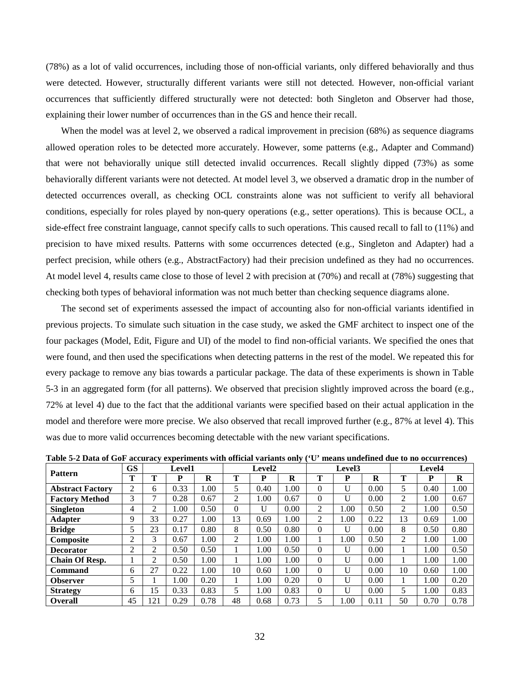(78%) as a lot of valid occurrences, including those of non-official variants, only differed behaviorally and thus were detected. However, structurally different variants were still not detected. However, non-official variant occurrences that sufficiently differed structurally were not detected: both Singleton and Observer had those, explaining their lower number of occurrences than in the GS and hence their recall.

When the model was at level 2, we observed a radical improvement in precision (68%) as sequence diagrams allowed operation roles to be detected more accurately. However, some patterns (e.g., Adapter and Command) that were not behaviorally unique still detected invalid occurrences. Recall slightly dipped (73%) as some behaviorally different variants were not detected. At model level 3, we observed a dramatic drop in the number of detected occurrences overall, as checking OCL constraints alone was not sufficient to verify all behavioral conditions, especially for roles played by non-query operations (e.g., setter operations). This is because OCL, a side-effect free constraint language, cannot specify calls to such operations. This caused recall to fall to (11%) and precision to have mixed results. Patterns with some occurrences detected (e.g., Singleton and Adapter) had a perfect precision, while others (e.g., AbstractFactory) had their precision undefined as they had no occurrences. At model level 4, results came close to those of level 2 with precision at (70%) and recall at (78%) suggesting that checking both types of behavioral information was not much better than checking sequence diagrams alone.

The second set of experiments assessed the impact of accounting also for non-official variants identified in previous projects. To simulate such situation in the case study, we asked the GMF architect to inspect one of the four packages (Model, Edit, Figure and UI) of the model to find non-official variants. We specified the ones that were found, and then used the specifications when detecting patterns in the rest of the model. We repeated this for every package to remove any bias towards a particular package. The data of these experiments is shown in Table 5-3 in an aggregated form (for all patterns). We observed that precision slightly improved across the board (e.g., 72% at level 4) due to the fact that the additional variants were specified based on their actual application in the model and therefore were more precise. We also observed that recall improved further (e.g., 87% at level 4). This was due to more valid occurrences becoming detectable with the new variant specifications.

| <b>Pattern</b>          | <b>GS</b> |     | <b>Level1</b> |      |          | Level2 | $\sim$ | Level <sub>3</sub> |      |      | Level4         |      |      |
|-------------------------|-----------|-----|---------------|------|----------|--------|--------|--------------------|------|------|----------------|------|------|
|                         | T         | m   | P             | R    | m        | P      | R      | Т                  | P    | R    | Т              | P    | R    |
| <b>Abstract Factory</b> | ◠         | 6   | 0.33          | 1.00 | 5        | 0.40   | 1.00   | $\Omega$           | U    | 0.00 | 5              | 0.40 | 1.00 |
| <b>Factory Method</b>   | 3         |     | 0.28          | 0.67 | 2        | 1.00   | 0.67   | $\Omega$           | U    | 0.00 | 2              | 1.00 | 0.67 |
| <b>Singleton</b>        | 4         | C   | .00           | 0.50 | $\Omega$ | U      | 0.00   | 2                  | 1.00 | 0.50 | $\overline{2}$ | 1.00 | 0.50 |
| <b>Adapter</b>          | 9         | 33  | 0.27          | 1.00 | 13       | 0.69   | 1.00   | 2                  | 1.00 | 0.22 | 13             | 0.69 | 1.00 |
| <b>Bridge</b>           |           | 23  | 0.17          | 0.80 | 8        | 0.50   | 0.80   | $\Omega$           | U    | 0.00 | 8              | 0.50 | 0.80 |
| <b>Composite</b>        | 2         | 3   | 0.67          | 1.00 | 2        | 1.00   | 1.00   |                    | 1.00 | 0.50 | $\overline{2}$ | 1.00 | 1.00 |
| <b>Decorator</b>        | ↑         | 2   | 0.50          | 0.50 |          | 1.00   | 0.50   | $\theta$           | U    | 0.00 |                | 1.00 | 0.50 |
| <b>Chain Of Resp.</b>   |           | 2   | 0.50          | 1.00 |          | 1.00   | 1.00   | $\Omega$           | U    | 0.00 |                | 1.00 | 1.00 |
| Command                 | 6         | 27  | 0.22          | 1.00 | 10       | 0.60   | 1.00   | $\Omega$           | U    | 0.00 | 10             | 0.60 | 1.00 |
| <b>Observer</b>         | 5         |     | 00.           | 0.20 |          | 1.00   | 0.20   | $\Omega$           | U    | 0.00 |                | 1.00 | 0.20 |
| <b>Strategy</b>         | 6         | 15  | 0.33          | 0.83 | 5        | 1.00   | 0.83   | $\Omega$           | U    | 0.00 | 5              | 1.00 | 0.83 |
| <b>Overall</b>          | 45        | 121 | 0.29          | 0.78 | 48       | 0.68   | 0.73   | 5                  | 1.00 | 0.11 | 50             | 0.70 | 0.78 |

**Table 5-2 Data of GoF accuracy experiments with official variants only ('U' means undefined due to no occurrences)**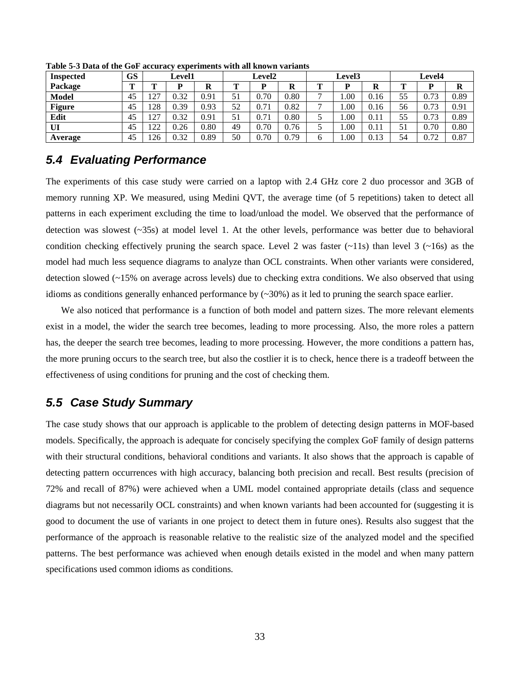| <b>Inspected</b> | <b>GS</b> | <b>Level1</b>        |      |      | <b>Level2</b> |      |      | <b>Level3</b>  |      |      | <b>Level4</b> |      |      |
|------------------|-----------|----------------------|------|------|---------------|------|------|----------------|------|------|---------------|------|------|
| Package          | m         | m                    | D    | R    | m             | D    | A    | m              | D    | R    | m             | D    | R    |
| <b>Model</b>     | 45        | 27                   | 0.32 | 0.91 |               | 0.70 | 0.80 |                | 1.00 | 0.16 | 55            | 0.73 | 0.89 |
| <b>Figure</b>    | 45        | .28                  | 0.39 | 0.93 | 52            | 0.71 | 0.82 | $\overline{ }$ | 1.00 | 0.16 | 56            | 0.73 | 0.91 |
| Edit             | 45        | 27<br>$\overline{ }$ | 0.32 | 0.91 |               | 0.71 | 0.80 |                | 1.00 | 0.11 | 55            | 0.73 | 0.89 |
| UI               | 45        | $\gamma$             | 0.26 | 0.80 | 49            | 0.70 | 0.76 |                | 1.00 | 0.11 | 51            | 0.70 | 0.80 |
| Average          | 45        | 26                   | 0.32 | 0.89 | 50            | 0.70 | 0.79 | O              | 1.00 | 0.13 | 54            | 0.72 | 0.87 |

**Table 5-3 Data of the GoF accuracy experiments with all known variants** 

## **5.4 Evaluating Performance**

The experiments of this case study were carried on a laptop with 2.4 GHz core 2 duo processor and 3GB of memory running XP. We measured, using Medini QVT, the average time (of 5 repetitions) taken to detect all patterns in each experiment excluding the time to load/unload the model. We observed that the performance of detection was slowest  $({\sim}35s)$  at model level 1. At the other levels, performance was better due to behavioral condition checking effectively pruning the search space. Level 2 was faster  $(\sim 11s)$  than level 3  $(\sim 16s)$  as the model had much less sequence diagrams to analyze than OCL constraints. When other variants were considered, detection slowed (~15% on average across levels) due to checking extra conditions. We also observed that using idioms as conditions generally enhanced performance by  $(\sim 30\%)$  as it led to pruning the search space earlier.

We also noticed that performance is a function of both model and pattern sizes. The more relevant elements exist in a model, the wider the search tree becomes, leading to more processing. Also, the more roles a pattern has, the deeper the search tree becomes, leading to more processing. However, the more conditions a pattern has, the more pruning occurs to the search tree, but also the costlier it is to check, hence there is a tradeoff between the effectiveness of using conditions for pruning and the cost of checking them.

### **5.5 Case Study Summary**

The case study shows that our approach is applicable to the problem of detecting design patterns in MOF-based models. Specifically, the approach is adequate for concisely specifying the complex GoF family of design patterns with their structural conditions, behavioral conditions and variants. It also shows that the approach is capable of detecting pattern occurrences with high accuracy, balancing both precision and recall. Best results (precision of 72% and recall of 87%) were achieved when a UML model contained appropriate details (class and sequence diagrams but not necessarily OCL constraints) and when known variants had been accounted for (suggesting it is good to document the use of variants in one project to detect them in future ones). Results also suggest that the performance of the approach is reasonable relative to the realistic size of the analyzed model and the specified patterns. The best performance was achieved when enough details existed in the model and when many pattern specifications used common idioms as conditions.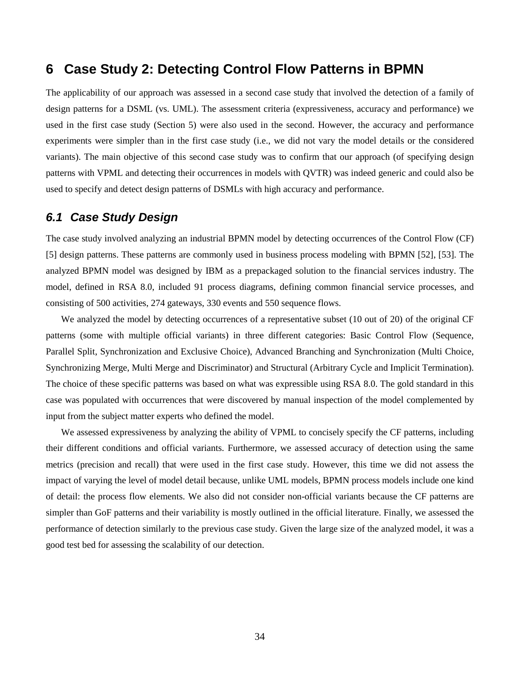## **6 Case Study 2: Detecting Control Flow Patterns in BPMN**

The applicability of our approach was assessed in a second case study that involved the detection of a family of design patterns for a DSML (vs. UML). The assessment criteria (expressiveness, accuracy and performance) we used in the first case study (Section 5) were also used in the second. However, the accuracy and performance experiments were simpler than in the first case study (i.e., we did not vary the model details or the considered variants). The main objective of this second case study was to confirm that our approach (of specifying design patterns with VPML and detecting their occurrences in models with QVTR) was indeed generic and could also be used to specify and detect design patterns of DSMLs with high accuracy and performance.

#### **6.1 Case Study Design**

The case study involved analyzing an industrial BPMN model by detecting occurrences of the Control Flow (CF) [5] design patterns. These patterns are commonly used in business process modeling with BPMN [52], [53]. The analyzed BPMN model was designed by IBM as a prepackaged solution to the financial services industry. The model, defined in RSA 8.0, included 91 process diagrams, defining common financial service processes, and consisting of 500 activities, 274 gateways, 330 events and 550 sequence flows.

We analyzed the model by detecting occurrences of a representative subset (10 out of 20) of the original CF patterns (some with multiple official variants) in three different categories: Basic Control Flow (Sequence, Parallel Split, Synchronization and Exclusive Choice), Advanced Branching and Synchronization (Multi Choice, Synchronizing Merge, Multi Merge and Discriminator) and Structural (Arbitrary Cycle and Implicit Termination). The choice of these specific patterns was based on what was expressible using RSA 8.0. The gold standard in this case was populated with occurrences that were discovered by manual inspection of the model complemented by input from the subject matter experts who defined the model.

We assessed expressiveness by analyzing the ability of VPML to concisely specify the CF patterns, including their different conditions and official variants. Furthermore, we assessed accuracy of detection using the same metrics (precision and recall) that were used in the first case study. However, this time we did not assess the impact of varying the level of model detail because, unlike UML models, BPMN process models include one kind of detail: the process flow elements. We also did not consider non-official variants because the CF patterns are simpler than GoF patterns and their variability is mostly outlined in the official literature. Finally, we assessed the performance of detection similarly to the previous case study. Given the large size of the analyzed model, it was a good test bed for assessing the scalability of our detection.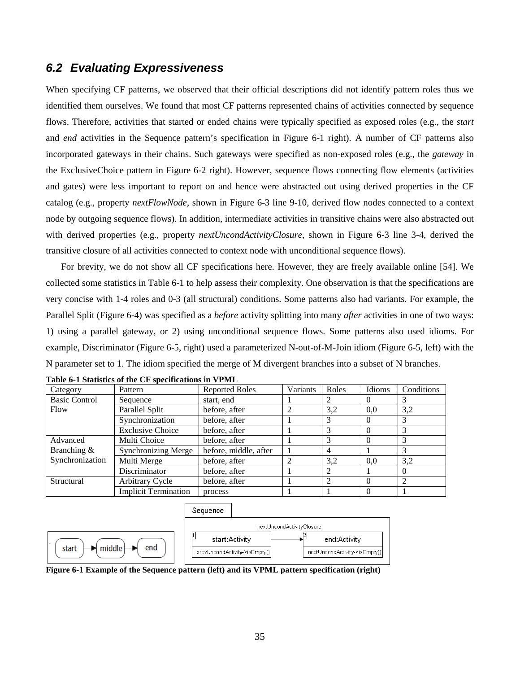### **6.2 Evaluating Expressiveness**

When specifying CF patterns, we observed that their official descriptions did not identify pattern roles thus we identified them ourselves. We found that most CF patterns represented chains of activities connected by sequence flows. Therefore, activities that started or ended chains were typically specified as exposed roles (e.g., the *start* and *end* activities in the Sequence pattern's specification in Figure 6-1 right). A number of CF patterns also incorporated gateways in their chains. Such gateways were specified as non-exposed roles (e.g., the *gateway* in the ExclusiveChoice pattern in Figure 6-2 right). However, sequence flows connecting flow elements (activities and gates) were less important to report on and hence were abstracted out using derived properties in the CF catalog (e.g., property *nextFlowNode*, shown in Figure 6-3 line 9-10, derived flow nodes connected to a context node by outgoing sequence flows). In addition, intermediate activities in transitive chains were also abstracted out with derived properties (e.g., property *nextUncondActivityClosure*, shown in Figure 6-3 line 3-4, derived the transitive closure of all activities connected to context node with unconditional sequence flows).

For brevity, we do not show all CF specifications here. However, they are freely available online [54]. We collected some statistics in Table 6-1 to help assess their complexity. One observation is that the specifications are very concise with 1-4 roles and 0-3 (all structural) conditions. Some patterns also had variants. For example, the Parallel Split (Figure 6-4) was specified as a *before* activity splitting into many *after* activities in one of two ways: 1) using a parallel gateway, or 2) using unconditional sequence flows. Some patterns also used idioms. For example, Discriminator (Figure 6-5, right) used a parameterized N-out-of-M-Join idiom (Figure 6-5, left) with the N parameter set to 1. The idiom specified the merge of M divergent branches into a subset of N branches.

| Category             | Pattern                     | <b>Reported Roles</b> | Variants | Roles          | Idioms   | Conditions |
|----------------------|-----------------------------|-----------------------|----------|----------------|----------|------------|
| <b>Basic Control</b> | Sequence                    | start, end            |          |                | $\theta$ |            |
| Flow                 | Parallel Split              | before, after         |          | 3,2            | 0.0      | 3,2        |
|                      | Synchronization             | before, after         |          | 3              | $\Omega$ |            |
|                      | <b>Exclusive Choice</b>     | before, after         |          | 3              | $\Omega$ |            |
| Advanced             | Multi Choice                | before, after         |          |                | $\Omega$ |            |
| Branching &          | <b>Synchronizing Merge</b>  | before, middle, after |          | $\overline{4}$ |          |            |
| Synchronization      | Multi Merge                 | before, after         |          | 3,2            | 0.0      | 3,2        |
|                      | <b>Discriminator</b>        | before, after         |          |                |          |            |
| Structural           | Arbitrary Cycle             | before, after         |          | ◠              | $\Omega$ |            |
|                      | <b>Implicit Termination</b> | process               |          |                | $\Omega$ |            |

|  |  | Table 6-1 Statistics of the CF specifications in VPML |  |
|--|--|-------------------------------------------------------|--|
|  |  |                                                       |  |



**Figure 6-1 Example of the Sequence pattern (left) and its VPML pattern specification (right)**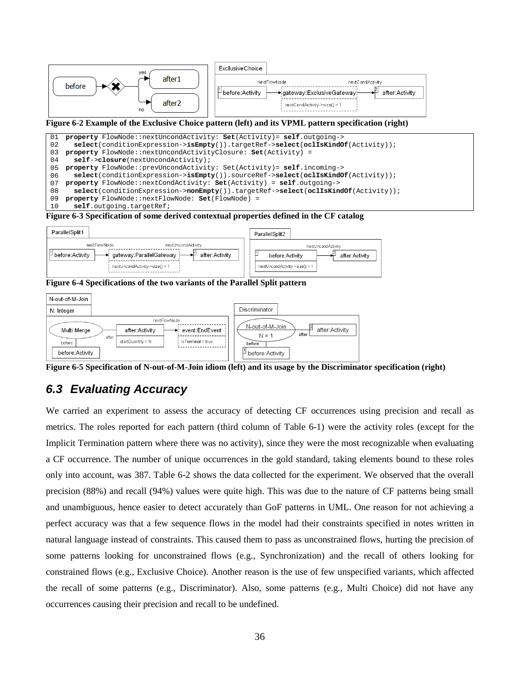

- 05 **property** FlowNode::prevUncondActivity: Set(Activity)= **self**.incoming-> 06
- 07 **select**(conditionExpression->**isEmpty**()).sourceRef->**select**(**oclIsKindOf**(Activity)); **property** FlowNode::nextCondActivity: **Set**(Activity) = **self**.outgoing->
- 08 **select**(conditionExpression->**nonEmpty**()).targetRef->**select**(**oclIsKindOf**(Activity));
- 09 **property** FlowNode::nextFlowNode: **Set**(FlowNode) =
- 10 **self**.outgoing.targetRef;

**Figure 6-3 Specification of some derived contextual properties defined in the CF catalog** 



**Figure 6-4 Specifications of the two variants of the Parallel Split pattern** 



**Figure 6-5 Specification of N-out-of-M-Join idiom (left) and its usage by the Discriminator specification (right)** 

# **6.3 Evaluating Accuracy**

We carried an experiment to assess the accuracy of detecting CF occurrences using precision and recall as metrics. The roles reported for each pattern (third column of Table 6-1) were the activity roles (except for the Implicit Termination pattern where there was no activity), since they were the most recognizable when evaluating a CF occurrence. The number of unique occurrences in the gold standard, taking elements bound to these roles only into account, was 387. Table 6-2 shows the data collected for the experiment. We observed that the overall precision (88%) and recall (94%) values were quite high. This was due to the nature of CF patterns being small and unambiguous, hence easier to detect accurately than GoF patterns in UML. One reason for not achieving a perfect accuracy was that a few sequence flows in the model had their constraints specified in notes written in natural language instead of constraints. This caused them to pass as unconstrained flows, hurting the precision of some patterns looking for unconstrained flows (e.g., Synchronization) and the recall of others looking for constrained flows (e.g., Exclusive Choice). Another reason is the use of few unspecified variants, which affected the recall of some patterns (e.g., Discriminator). Also, some patterns (e.g., Multi Choice) did not have any occurrences causing their precision and recall to be undefined.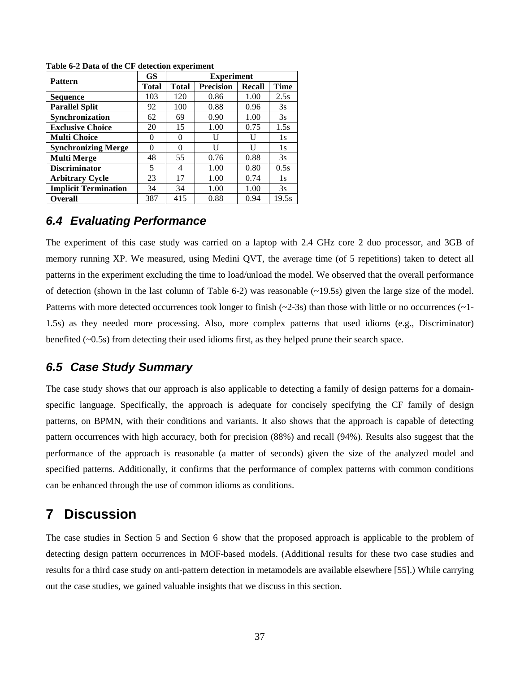| <b>Pattern</b>              | <b>GS</b> | <b>Experiment</b> |                  |               |             |  |  |  |  |
|-----------------------------|-----------|-------------------|------------------|---------------|-------------|--|--|--|--|
|                             | Total     | <b>Total</b>      | <b>Precision</b> | <b>Recall</b> | <b>Time</b> |  |  |  |  |
| <b>Sequence</b>             | 103       | 120               | 0.86             | 1.00          | 2.5s        |  |  |  |  |
| <b>Parallel Split</b>       | 92        | 100               | 0.88             | 0.96          | 3s          |  |  |  |  |
| Synchronization             | 62        | 69                | 0.90             | 1.00          | 3s          |  |  |  |  |
| <b>Exclusive Choice</b>     | 20        | 15                | 1.00             | 0.75          | 1.5s        |  |  |  |  |
| <b>Multi Choice</b>         | $\Omega$  | 0                 | U                |               | 1s          |  |  |  |  |
| <b>Synchronizing Merge</b>  |           |                   | H                |               | 1s          |  |  |  |  |
| <b>Multi Merge</b>          | 48        | 55                | 0.76             | 0.88          | 3s          |  |  |  |  |
| <b>Discriminator</b>        | 5         | 4                 | 1.00             | 0.80          | 0.5s        |  |  |  |  |
| <b>Arbitrary Cycle</b>      | 23        | 17                | 1.00             | 0.74          | 1s          |  |  |  |  |
| <b>Implicit Termination</b> | 34        | 34                | 1.00             | 1.00          | 3s          |  |  |  |  |
| <b>Overall</b>              | 387       | 415               | 0.88             | 0.94          | 19.5s       |  |  |  |  |

**Table 6-2 Data of the CF detection experiment** 

### **6.4 Evaluating Performance**

The experiment of this case study was carried on a laptop with 2.4 GHz core 2 duo processor, and 3GB of memory running XP. We measured, using Medini QVT, the average time (of 5 repetitions) taken to detect all patterns in the experiment excluding the time to load/unload the model. We observed that the overall performance of detection (shown in the last column of Table 6-2) was reasonable  $(\sim 19.5s)$  given the large size of the model. Patterns with more detected occurrences took longer to finish  $(\sim 2-3s)$  than those with little or no occurrences  $(\sim 1-$ 1.5s) as they needed more processing. Also, more complex patterns that used idioms (e.g., Discriminator) benefited (~0.5s) from detecting their used idioms first, as they helped prune their search space.

## **6.5 Case Study Summary**

The case study shows that our approach is also applicable to detecting a family of design patterns for a domainspecific language. Specifically, the approach is adequate for concisely specifying the CF family of design patterns, on BPMN, with their conditions and variants. It also shows that the approach is capable of detecting pattern occurrences with high accuracy, both for precision (88%) and recall (94%). Results also suggest that the performance of the approach is reasonable (a matter of seconds) given the size of the analyzed model and specified patterns. Additionally, it confirms that the performance of complex patterns with common conditions can be enhanced through the use of common idioms as conditions.

## **7 Discussion**

The case studies in Section 5 and Section 6 show that the proposed approach is applicable to the problem of detecting design pattern occurrences in MOF-based models. (Additional results for these two case studies and results for a third case study on anti-pattern detection in metamodels are available elsewhere [55].) While carrying out the case studies, we gained valuable insights that we discuss in this section.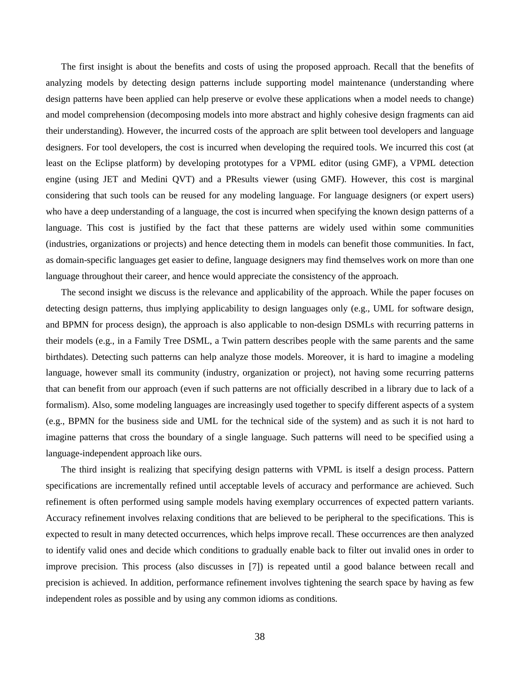The first insight is about the benefits and costs of using the proposed approach. Recall that the benefits of analyzing models by detecting design patterns include supporting model maintenance (understanding where design patterns have been applied can help preserve or evolve these applications when a model needs to change) and model comprehension (decomposing models into more abstract and highly cohesive design fragments can aid their understanding). However, the incurred costs of the approach are split between tool developers and language designers. For tool developers, the cost is incurred when developing the required tools. We incurred this cost (at least on the Eclipse platform) by developing prototypes for a VPML editor (using GMF), a VPML detection engine (using JET and Medini QVT) and a PResults viewer (using GMF). However, this cost is marginal considering that such tools can be reused for any modeling language. For language designers (or expert users) who have a deep understanding of a language, the cost is incurred when specifying the known design patterns of a language. This cost is justified by the fact that these patterns are widely used within some communities (industries, organizations or projects) and hence detecting them in models can benefit those communities. In fact, as domain-specific languages get easier to define, language designers may find themselves work on more than one language throughout their career, and hence would appreciate the consistency of the approach.

The second insight we discuss is the relevance and applicability of the approach. While the paper focuses on detecting design patterns, thus implying applicability to design languages only (e.g., UML for software design, and BPMN for process design), the approach is also applicable to non-design DSMLs with recurring patterns in their models (e.g., in a Family Tree DSML, a Twin pattern describes people with the same parents and the same birthdates). Detecting such patterns can help analyze those models. Moreover, it is hard to imagine a modeling language, however small its community (industry, organization or project), not having some recurring patterns that can benefit from our approach (even if such patterns are not officially described in a library due to lack of a formalism). Also, some modeling languages are increasingly used together to specify different aspects of a system (e.g., BPMN for the business side and UML for the technical side of the system) and as such it is not hard to imagine patterns that cross the boundary of a single language. Such patterns will need to be specified using a language-independent approach like ours.

The third insight is realizing that specifying design patterns with VPML is itself a design process. Pattern specifications are incrementally refined until acceptable levels of accuracy and performance are achieved. Such refinement is often performed using sample models having exemplary occurrences of expected pattern variants. Accuracy refinement involves relaxing conditions that are believed to be peripheral to the specifications. This is expected to result in many detected occurrences, which helps improve recall. These occurrences are then analyzed to identify valid ones and decide which conditions to gradually enable back to filter out invalid ones in order to improve precision. This process (also discusses in [7]) is repeated until a good balance between recall and precision is achieved. In addition, performance refinement involves tightening the search space by having as few independent roles as possible and by using any common idioms as conditions.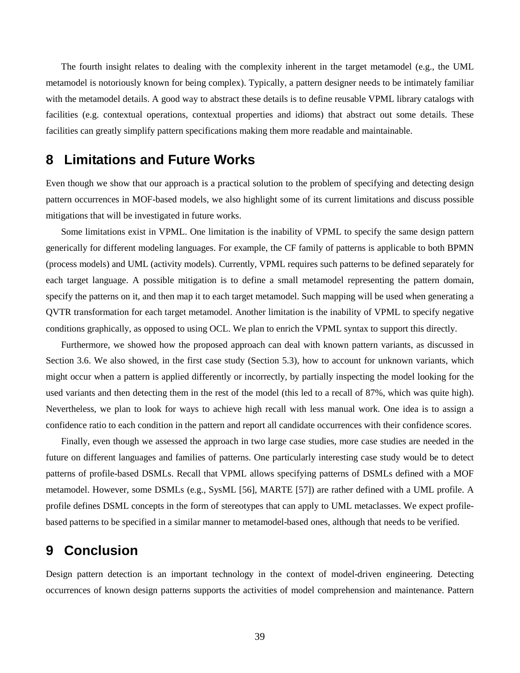The fourth insight relates to dealing with the complexity inherent in the target metamodel (e.g., the UML metamodel is notoriously known for being complex). Typically, a pattern designer needs to be intimately familiar with the metamodel details. A good way to abstract these details is to define reusable VPML library catalogs with facilities (e.g. contextual operations, contextual properties and idioms) that abstract out some details. These facilities can greatly simplify pattern specifications making them more readable and maintainable.

## **8 Limitations and Future Works**

Even though we show that our approach is a practical solution to the problem of specifying and detecting design pattern occurrences in MOF-based models, we also highlight some of its current limitations and discuss possible mitigations that will be investigated in future works.

Some limitations exist in VPML. One limitation is the inability of VPML to specify the same design pattern generically for different modeling languages. For example, the CF family of patterns is applicable to both BPMN (process models) and UML (activity models). Currently, VPML requires such patterns to be defined separately for each target language. A possible mitigation is to define a small metamodel representing the pattern domain, specify the patterns on it, and then map it to each target metamodel. Such mapping will be used when generating a QVTR transformation for each target metamodel. Another limitation is the inability of VPML to specify negative conditions graphically, as opposed to using OCL. We plan to enrich the VPML syntax to support this directly.

Furthermore, we showed how the proposed approach can deal with known pattern variants, as discussed in Section 3.6. We also showed, in the first case study (Section 5.3), how to account for unknown variants, which might occur when a pattern is applied differently or incorrectly, by partially inspecting the model looking for the used variants and then detecting them in the rest of the model (this led to a recall of 87%, which was quite high). Nevertheless, we plan to look for ways to achieve high recall with less manual work. One idea is to assign a confidence ratio to each condition in the pattern and report all candidate occurrences with their confidence scores.

Finally, even though we assessed the approach in two large case studies, more case studies are needed in the future on different languages and families of patterns. One particularly interesting case study would be to detect patterns of profile-based DSMLs. Recall that VPML allows specifying patterns of DSMLs defined with a MOF metamodel. However, some DSMLs (e.g., SysML [56], MARTE [57]) are rather defined with a UML profile. A profile defines DSML concepts in the form of stereotypes that can apply to UML metaclasses. We expect profilebased patterns to be specified in a similar manner to metamodel-based ones, although that needs to be verified.

## **9 Conclusion**

Design pattern detection is an important technology in the context of model-driven engineering. Detecting occurrences of known design patterns supports the activities of model comprehension and maintenance. Pattern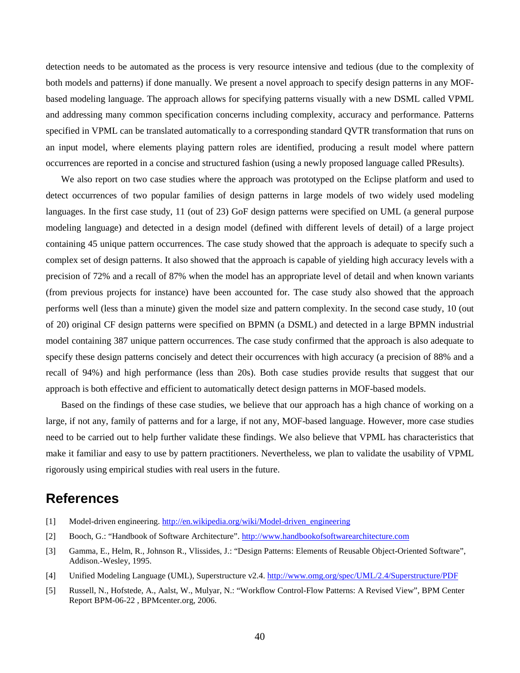detection needs to be automated as the process is very resource intensive and tedious (due to the complexity of both models and patterns) if done manually. We present a novel approach to specify design patterns in any MOFbased modeling language. The approach allows for specifying patterns visually with a new DSML called VPML and addressing many common specification concerns including complexity, accuracy and performance. Patterns specified in VPML can be translated automatically to a corresponding standard QVTR transformation that runs on an input model, where elements playing pattern roles are identified, producing a result model where pattern occurrences are reported in a concise and structured fashion (using a newly proposed language called PResults).

We also report on two case studies where the approach was prototyped on the Eclipse platform and used to detect occurrences of two popular families of design patterns in large models of two widely used modeling languages. In the first case study, 11 (out of 23) GoF design patterns were specified on UML (a general purpose modeling language) and detected in a design model (defined with different levels of detail) of a large project containing 45 unique pattern occurrences. The case study showed that the approach is adequate to specify such a complex set of design patterns. It also showed that the approach is capable of yielding high accuracy levels with a precision of 72% and a recall of 87% when the model has an appropriate level of detail and when known variants (from previous projects for instance) have been accounted for. The case study also showed that the approach performs well (less than a minute) given the model size and pattern complexity. In the second case study, 10 (out of 20) original CF design patterns were specified on BPMN (a DSML) and detected in a large BPMN industrial model containing 387 unique pattern occurrences. The case study confirmed that the approach is also adequate to specify these design patterns concisely and detect their occurrences with high accuracy (a precision of 88% and a recall of 94%) and high performance (less than 20s). Both case studies provide results that suggest that our approach is both effective and efficient to automatically detect design patterns in MOF-based models.

Based on the findings of these case studies, we believe that our approach has a high chance of working on a large, if not any, family of patterns and for a large, if not any, MOF-based language. However, more case studies need to be carried out to help further validate these findings. We also believe that VPML has characteristics that make it familiar and easy to use by pattern practitioners. Nevertheless, we plan to validate the usability of VPML rigorously using empirical studies with real users in the future.

## **References**

- [1] Model-driven engineering. http://en.wikipedia.org/wiki/Model-driven\_engineering
- [2] Booch, G.: "Handbook of Software Architecture". http://www.handbookofsoftwarearchitecture.com
- [3] Gamma, E., Helm, R., Johnson R., Vlissides, J.: "Design Patterns: Elements of Reusable Object-Oriented Software", Addison.-Wesley, 1995.
- [4] Unified Modeling Language (UML), Superstructure v2.4. http://www.omg.org/spec/UML/2.4/Superstructure/PDF
- [5] Russell, N., Hofstede, A., Aalst, W., Mulyar, N.: "Workflow Control-Flow Patterns: A Revised View", BPM Center Report BPM-06-22 , BPMcenter.org, 2006.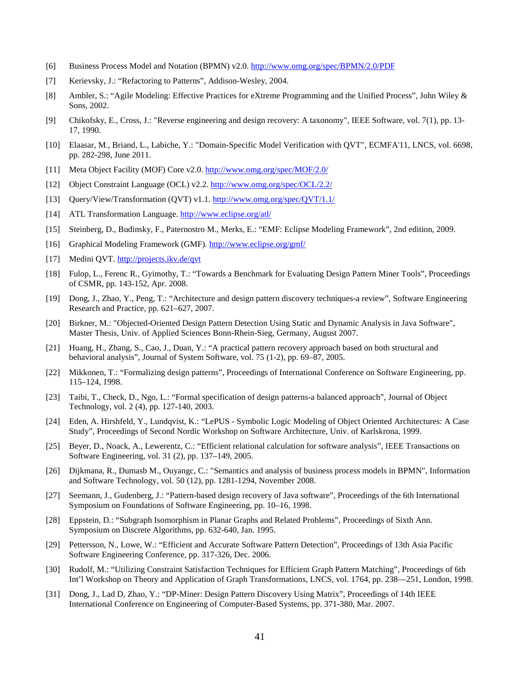- [6] Business Process Model and Notation (BPMN) v2.0. http://www.omg.org/spec/BPMN/2.0/PDF
- [7] Kerievsky, J.: "Refactoring to Patterns", Addison-Wesley, 2004.
- [8] Ambler, S.: "Agile Modeling: Effective Practices for eXtreme Programming and the Unified Process", John Wiley & Sons, 2002.
- [9] Chikofsky, E., Cross, J.: "Reverse engineering and design recovery: A taxonomy", IEEE Software, vol. 7(1), pp. 13- 17, 1990.
- [10] Elaasar, M., Briand, L., Labiche, Y.: "Domain-Specific Model Verification with QVT", ECMFA'11, LNCS, vol. 6698, pp. 282-298, June 2011.
- [11] Meta Object Facility (MOF) Core v2.0. http://www.omg.org/spec/MOF/2.0/
- [12] Object Constraint Language (OCL) v2.2. http://www.omg.org/spec/OCL/2.2/
- [13] Query/View/Transformation (QVT) v1.1. http://www.omg.org/spec/QVT/1.1/
- [14] ATL Transformation Language. http://www.eclipse.org/atl/
- [15] Steinberg, D., Budinsky, F., Paternostro M., Merks, E.: "EMF: Eclipse Modeling Framework", 2nd edition, 2009.
- [16] Graphical Modeling Framework (GMF). http://www.eclipse.org/gmf/
- [17] Medini QVT. http://projects.ikv.de/qvt
- [18] Fulop, L., Ferenc R., Gyimothy, T.: "Towards a Benchmark for Evaluating Design Pattern Miner Tools", Proceedings of CSMR, pp. 143-152, Apr. 2008.
- [19] Dong, J., Zhao, Y., Peng, T.: "Architecture and design pattern discovery techniques-a review", Software Engineering Research and Practice, pp. 621–627, 2007.
- [20] Birkner, M.: "Objected-Oriented Design Pattern Detection Using Static and Dynamic Analysis in Java Software", Master Thesis, Univ. of Applied Sciences Bonn-Rhein-Sieg, Germany, August 2007.
- [21] Huang, H., Zhang, S., Cao, J., Duan, Y.: "A practical pattern recovery approach based on both structural and behavioral analysis", Journal of System Software, vol. 75 (1-2), pp. 69–87, 2005.
- [22] Mikkonen, T.: "Formalizing design patterns", Proceedings of International Conference on Software Engineering, pp. 115–124, 1998.
- [23] Taibi, T., Check, D., Ngo, L.: "Formal specification of design patterns-a balanced approach", Journal of Object Technology, vol. 2 (4), pp. 127-140, 2003.
- [24] Eden, A. Hirshfeld, Y., Lundqvist, K.: "LePUS Symbolic Logic Modeling of Object Oriented Architectures: A Case Study", Proceedings of Second Nordic Workshop on Software Architecture, Univ. of Karlskrona, 1999.
- [25] Beyer, D., Noack, A., Lewerentz, C.: "Efficient relational calculation for software analysis", IEEE Transactions on Software Engineering, vol. 31 (2), pp. 137–149, 2005.
- [26] Dijkmana, R., Dumasb M., Ouyangc, C.: "Semantics and analysis of business process models in BPMN", Information and Software Technology, vol. 50 (12), pp. 1281-1294, November 2008.
- [27] Seemann, J., Gudenberg, J.: "Pattern-based design recovery of Java software", Proceedings of the 6th International Symposium on Foundations of Software Engineering, pp. 10–16, 1998.
- [28] Eppstein, D.: "Subgraph Isomorphism in Planar Graphs and Related Problems", Proceedings of Sixth Ann. Symposium on Discrete Algorithms, pp. 632-640, Jan. 1995.
- [29] Pettersson, N., Lowe, W.: "Efficient and Accurate Software Pattern Detection", Proceedings of 13th Asia Pacific Software Engineering Conference, pp. 317-326, Dec. 2006.
- [30] Rudolf, M.: "Utilizing Constraint Satisfaction Techniques for Efficient Graph Pattern Matching", Proceedings of 6th Int'l Workshop on Theory and Application of Graph Transformations, LNCS, vol. 1764, pp. 238—251, London, 1998.
- [31] Dong, J., Lad D, Zhao, Y.: "DP-Miner: Design Pattern Discovery Using Matrix", Proceedings of 14th IEEE International Conference on Engineering of Computer-Based Systems, pp. 371-380, Mar. 2007.